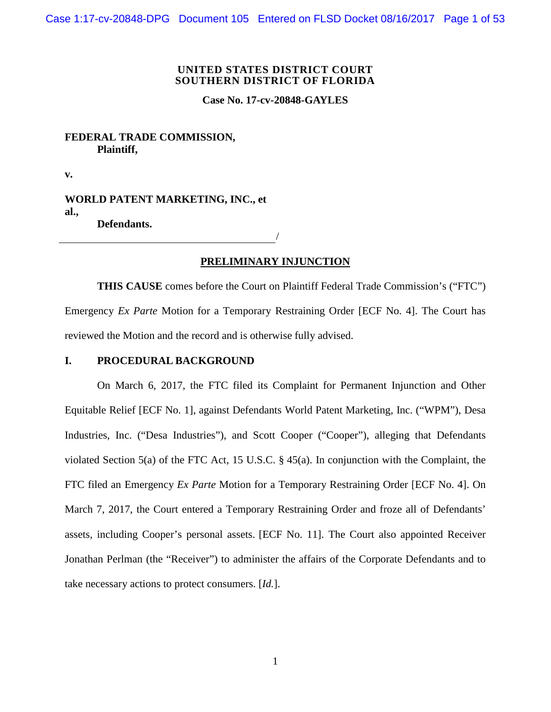#### **UNITED STATES DISTRICT COURT SOUTHERN DISTRICT OF FLORIDA**

**Case No. 17-cv-20848-GAYLES**

## **FEDERAL TRADE COMMISSION, Plaintiff,**

**v.** 

**WORLD PATENT MARKETING, INC., et al., Defendants.**

/

# **PRELIMINARY INJUNCTION**

**THIS CAUSE** comes before the Court on Plaintiff Federal Trade Commission's ("FTC") Emergency *Ex Parte* Motion for a Temporary Restraining Order [ECF No. 4]. The Court has reviewed the Motion and the record and is otherwise fully advised.

### **I. PROCEDURAL BACKGROUND**

On March 6, 2017, the FTC filed its Complaint for Permanent Injunction and Other Equitable Relief [ECF No. 1], against Defendants World Patent Marketing, Inc. ("WPM"), Desa Industries, Inc. ("Desa Industries"), and Scott Cooper ("Cooper"), alleging that Defendants violated Section 5(a) of the FTC Act, 15 U.S.C. § 45(a). In conjunction with the Complaint, the FTC filed an Emergency *Ex Parte* Motion for a Temporary Restraining Order [ECF No. 4]. On March 7, 2017, the Court entered a Temporary Restraining Order and froze all of Defendants' assets, including Cooper's personal assets. [ECF No. 11]. The Court also appointed Receiver Jonathan Perlman (the "Receiver") to administer the affairs of the Corporate Defendants and to take necessary actions to protect consumers. [*Id.*].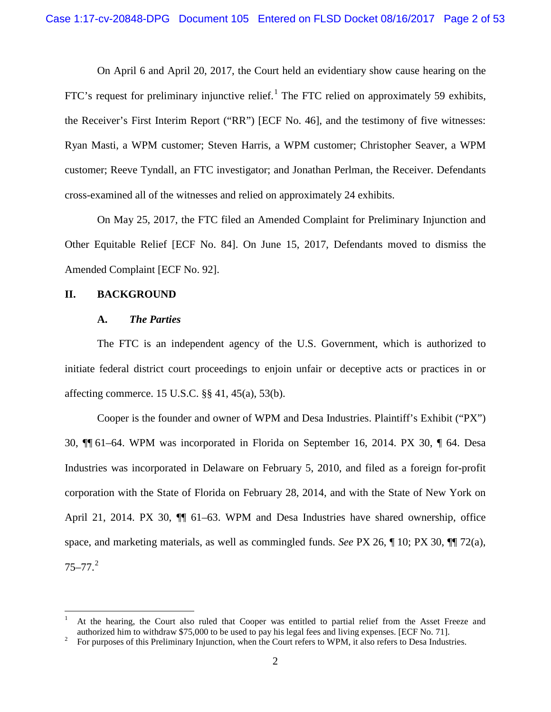On April 6 and April 20, 2017, the Court held an evidentiary show cause hearing on the FTC's request for preliminary injunctive relief.<sup>[1](#page-1-0)</sup> The FTC relied on approximately 59 exhibits, the Receiver's First Interim Report ("RR") [ECF No. 46], and the testimony of five witnesses: Ryan Masti, a WPM customer; Steven Harris, a WPM customer; Christopher Seaver, a WPM customer; Reeve Tyndall, an FTC investigator; and Jonathan Perlman, the Receiver. Defendants cross-examined all of the witnesses and relied on approximately 24 exhibits.

On May 25, 2017, the FTC filed an Amended Complaint for Preliminary Injunction and Other Equitable Relief [ECF No. 84]. On June 15, 2017, Defendants moved to dismiss the Amended Complaint [ECF No. 92].

#### **II. BACKGROUND**

#### **A.** *The Parties*

The FTC is an independent agency of the U.S. Government, which is authorized to initiate federal district court proceedings to enjoin unfair or deceptive acts or practices in or affecting commerce. 15 U.S.C. §§ 41, 45(a), 53(b).

Cooper is the founder and owner of WPM and Desa Industries. Plaintiff's Exhibit ("PX") 30, ¶¶ 61–64. WPM was incorporated in Florida on September 16, 2014. PX 30, ¶ 64. Desa Industries was incorporated in Delaware on February 5, 2010, and filed as a foreign for-profit corporation with the State of Florida on February 28, 2014, and with the State of New York on April 21, 2014. PX 30,  $\P$  61–63. WPM and Desa Industries have shared ownership, office space, and marketing materials, as well as commingled funds. *See* PX 26, ¶ 10; PX 30, ¶¶ 72(a),  $75 - 77.<sup>2</sup>$  $75 - 77.<sup>2</sup>$  $75 - 77.<sup>2</sup>$ 

<span id="page-1-0"></span> <sup>1</sup> At the hearing, the Court also ruled that Cooper was entitled to partial relief from the Asset Freeze and authorized him to withdraw \$75,000 to be used to pay his legal fees and living expenses. [ECF No. 71].<br><sup>2</sup> For purposes of this Preliminary Injunction, when the Court refers to WPM, it also refers to Desa Industries.

<span id="page-1-1"></span>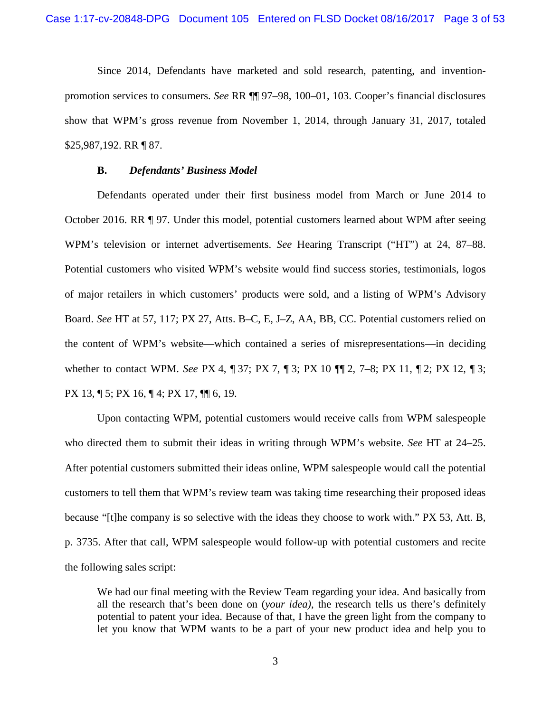Since 2014, Defendants have marketed and sold research, patenting, and inventionpromotion services to consumers. *See* RR ¶¶ 97–98, 100–01, 103. Cooper's financial disclosures show that WPM's gross revenue from November 1, 2014, through January 31, 2017, totaled \$25,987,192. RR ¶ 87.

#### **B.** *Defendants' Business Model*

Defendants operated under their first business model from March or June 2014 to October 2016. RR ¶ 97. Under this model, potential customers learned about WPM after seeing WPM's television or internet advertisements. *See* Hearing Transcript ("HT") at 24, 87–88. Potential customers who visited WPM's website would find success stories, testimonials, logos of major retailers in which customers' products were sold, and a listing of WPM's Advisory Board. *See* HT at 57, 117; PX 27, Atts. B–C, E, J–Z, AA, BB, CC. Potential customers relied on the content of WPM's website—which contained a series of misrepresentations—in deciding whether to contact WPM. *See* PX 4, ¶ 37; PX 7, ¶ 3; PX 10 ¶¶ 2, 7–8; PX 11, ¶ 2; PX 12, ¶ 3; PX 13, ¶ 5; PX 16, ¶ 4; PX 17, ¶¶ 6, 19.

Upon contacting WPM, potential customers would receive calls from WPM salespeople who directed them to submit their ideas in writing through WPM's website. *See* HT at 24–25. After potential customers submitted their ideas online, WPM salespeople would call the potential customers to tell them that WPM's review team was taking time researching their proposed ideas because "[t]he company is so selective with the ideas they choose to work with." PX 53, Att. B, p. 3735. After that call, WPM salespeople would follow-up with potential customers and recite the following sales script:

We had our final meeting with the Review Team regarding your idea. And basically from all the research that's been done on (*your idea)*, the research tells us there's definitely potential to patent your idea. Because of that, I have the green light from the company to let you know that WPM wants to be a part of your new product idea and help you to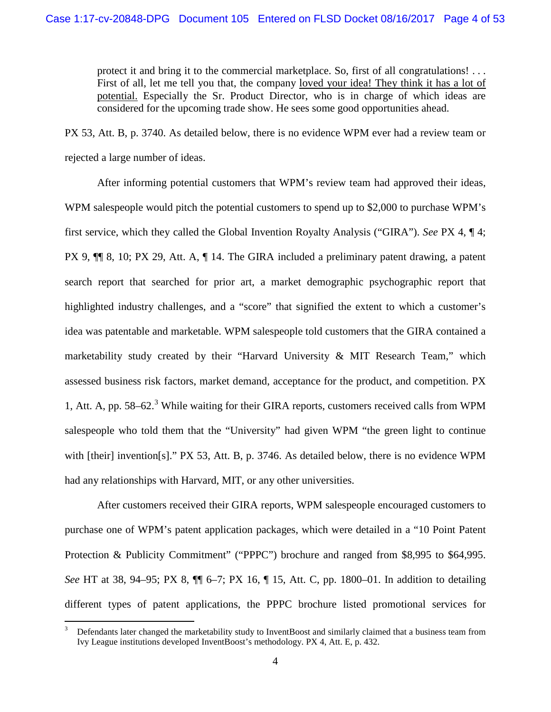protect it and bring it to the commercial marketplace. So, first of all congratulations! . . . First of all, let me tell you that, the company loved your idea! They think it has a lot of potential. Especially the Sr. Product Director, who is in charge of which ideas are considered for the upcoming trade show. He sees some good opportunities ahead.

PX 53, Att. B, p. 3740. As detailed below, there is no evidence WPM ever had a review team or rejected a large number of ideas.

After informing potential customers that WPM's review team had approved their ideas, WPM salespeople would pitch the potential customers to spend up to \$2,000 to purchase WPM's first service, which they called the Global Invention Royalty Analysis ("GIRA"). *See* PX 4, ¶ 4; PX 9, ¶¶ 8, 10; PX 29, Att. A, ¶ 14. The GIRA included a preliminary patent drawing, a patent search report that searched for prior art, a market demographic psychographic report that highlighted industry challenges, and a "score" that signified the extent to which a customer's idea was patentable and marketable. WPM salespeople told customers that the GIRA contained a marketability study created by their "Harvard University & MIT Research Team," which assessed business risk factors, market demand, acceptance for the product, and competition. PX 1, Att. A, pp. 58–62.<sup>[3](#page-3-0)</sup> While waiting for their GIRA reports, customers received calls from WPM salespeople who told them that the "University" had given WPM "the green light to continue with [their] invention[s]." PX 53, Att. B, p. 3746. As detailed below, there is no evidence WPM had any relationships with Harvard, MIT, or any other universities.

After customers received their GIRA reports, WPM salespeople encouraged customers to purchase one of WPM's patent application packages, which were detailed in a "10 Point Patent Protection & Publicity Commitment" ("PPPC") brochure and ranged from \$8,995 to \$64,995. *See* HT at 38, 94–95; PX 8, ¶¶ 6–7; PX 16, ¶ 15, Att. C, pp. 1800–01. In addition to detailing different types of patent applications, the PPPC brochure listed promotional services for

<span id="page-3-0"></span><sup>&</sup>lt;sup>3</sup> Defendants later changed the marketability study to InventBoost and similarly claimed that a business team from Ivy League institutions developed InventBoost's methodology. PX 4, Att. E, p. 432.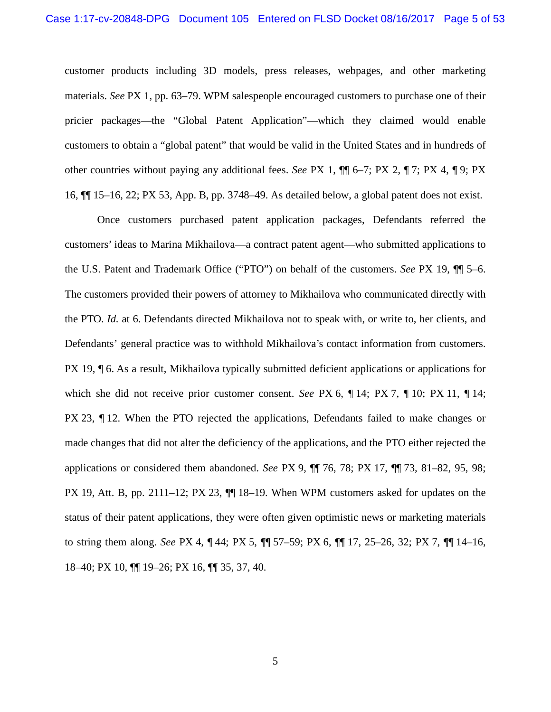customer products including 3D models, press releases, webpages, and other marketing materials. *See* PX 1, pp. 63–79. WPM salespeople encouraged customers to purchase one of their pricier packages—the "Global Patent Application"—which they claimed would enable customers to obtain a "global patent" that would be valid in the United States and in hundreds of other countries without paying any additional fees. *See* PX 1, ¶¶ 6–7; PX 2, ¶ 7; PX 4, ¶ 9; PX 16, ¶¶ 15–16, 22; PX 53, App. B, pp. 3748–49. As detailed below, a global patent does not exist.

Once customers purchased patent application packages, Defendants referred the customers' ideas to Marina Mikhailova—a contract patent agent—who submitted applications to the U.S. Patent and Trademark Office ("PTO") on behalf of the customers. *See* PX 19, ¶¶ 5–6. The customers provided their powers of attorney to Mikhailova who communicated directly with the PTO. *Id.* at 6. Defendants directed Mikhailova not to speak with, or write to, her clients, and Defendants' general practice was to withhold Mikhailova's contact information from customers. PX 19, ¶ 6. As a result, Mikhailova typically submitted deficient applications or applications for which she did not receive prior customer consent. *See* PX 6, ¶ 14; PX 7, ¶ 10; PX 11, ¶ 14; PX 23, ¶ 12. When the PTO rejected the applications, Defendants failed to make changes or made changes that did not alter the deficiency of the applications, and the PTO either rejected the applications or considered them abandoned. *See* PX 9, ¶¶ 76, 78; PX 17, ¶¶ 73, 81–82, 95, 98; PX 19, Att. B, pp. 2111–12; PX 23, ¶¶ 18–19. When WPM customers asked for updates on the status of their patent applications, they were often given optimistic news or marketing materials to string them along. *See* PX 4, ¶ 44; PX 5, ¶¶ 57–59; PX 6, ¶¶ 17, 25–26, 32; PX 7, ¶¶ 14–16, 18–40; PX 10, ¶¶ 19–26; PX 16, ¶¶ 35, 37, 40.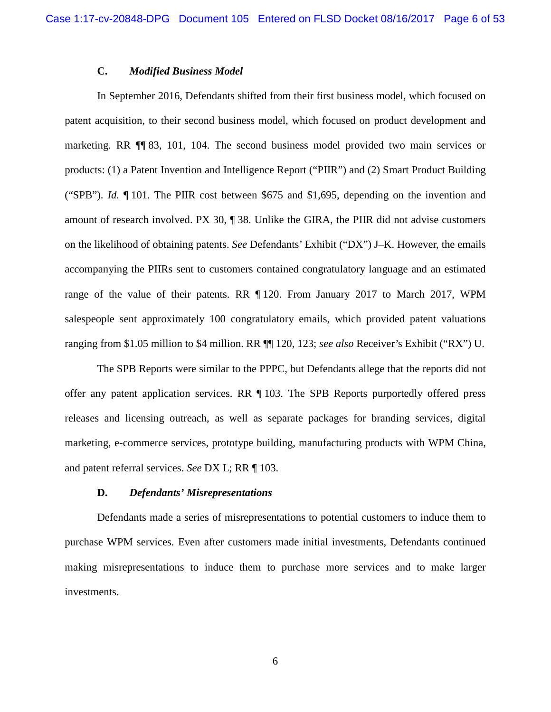## **C.** *Modified Business Model*

In September 2016, Defendants shifted from their first business model, which focused on patent acquisition, to their second business model, which focused on product development and marketing. RR ¶¶ 83, 101, 104. The second business model provided two main services or products: (1) a Patent Invention and Intelligence Report ("PIIR") and (2) Smart Product Building ("SPB"). *Id.* ¶ 101. The PIIR cost between \$675 and \$1,695, depending on the invention and amount of research involved. PX 30, ¶ 38. Unlike the GIRA, the PIIR did not advise customers on the likelihood of obtaining patents. *See* Defendants' Exhibit ("DX") J–K. However, the emails accompanying the PIIRs sent to customers contained congratulatory language and an estimated range of the value of their patents. RR ¶ 120. From January 2017 to March 2017, WPM salespeople sent approximately 100 congratulatory emails, which provided patent valuations ranging from \$1.05 million to \$4 million. RR ¶¶ 120, 123; *see also* Receiver's Exhibit ("RX") U.

The SPB Reports were similar to the PPPC, but Defendants allege that the reports did not offer any patent application services. RR ¶ 103. The SPB Reports purportedly offered press releases and licensing outreach, as well as separate packages for branding services, digital marketing, e-commerce services, prototype building, manufacturing products with WPM China, and patent referral services. *See* DX L; RR ¶ 103.

#### **D.** *Defendants' Misrepresentations*

Defendants made a series of misrepresentations to potential customers to induce them to purchase WPM services. Even after customers made initial investments, Defendants continued making misrepresentations to induce them to purchase more services and to make larger investments.

6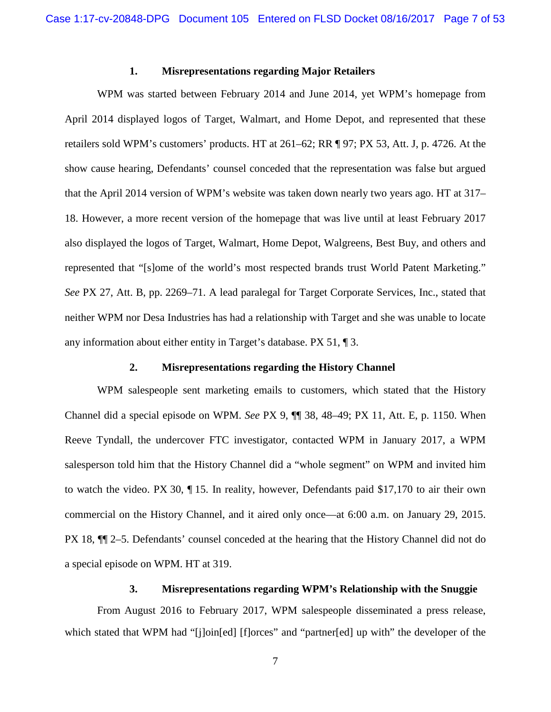# **1. Misrepresentations regarding Major Retailers**

WPM was started between February 2014 and June 2014, yet WPM's homepage from April 2014 displayed logos of Target, Walmart, and Home Depot, and represented that these retailers sold WPM's customers' products. HT at 261–62; RR ¶ 97; PX 53, Att. J, p. 4726. At the show cause hearing, Defendants' counsel conceded that the representation was false but argued that the April 2014 version of WPM's website was taken down nearly two years ago. HT at 317– 18. However, a more recent version of the homepage that was live until at least February 2017 also displayed the logos of Target, Walmart, Home Depot, Walgreens, Best Buy, and others and represented that "[s]ome of the world's most respected brands trust World Patent Marketing." *See* PX 27, Att. B, pp. 2269–71. A lead paralegal for Target Corporate Services, Inc., stated that neither WPM nor Desa Industries has had a relationship with Target and she was unable to locate any information about either entity in Target's database. PX 51, ¶ 3.

### **2. Misrepresentations regarding the History Channel**

WPM salespeople sent marketing emails to customers, which stated that the History Channel did a special episode on WPM. *See* PX 9, ¶¶ 38, 48–49; PX 11, Att. E, p. 1150. When Reeve Tyndall, the undercover FTC investigator, contacted WPM in January 2017, a WPM salesperson told him that the History Channel did a "whole segment" on WPM and invited him to watch the video. PX 30, ¶ 15. In reality, however, Defendants paid \$17,170 to air their own commercial on the History Channel, and it aired only once—at 6:00 a.m. on January 29, 2015. PX 18, ¶¶ 2–5. Defendants' counsel conceded at the hearing that the History Channel did not do a special episode on WPM. HT at 319.

#### **3. Misrepresentations regarding WPM's Relationship with the Snuggie**

From August 2016 to February 2017, WPM salespeople disseminated a press release, which stated that WPM had "[j]oin[ed] [f]orces" and "partner[ed] up with" the developer of the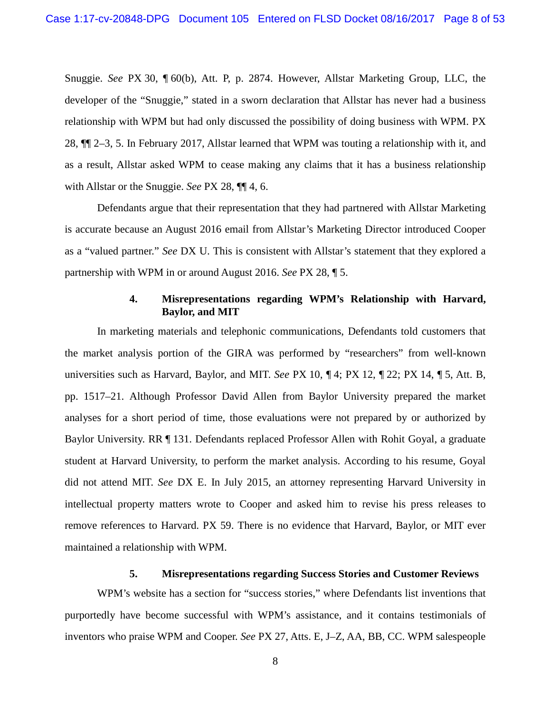Snuggie. *See* PX 30, ¶ 60(b), Att. P, p. 2874. However, Allstar Marketing Group, LLC, the developer of the "Snuggie," stated in a sworn declaration that Allstar has never had a business relationship with WPM but had only discussed the possibility of doing business with WPM. PX 28, ¶¶ 2–3, 5. In February 2017, Allstar learned that WPM was touting a relationship with it, and as a result, Allstar asked WPM to cease making any claims that it has a business relationship with Allstar or the Snuggie. *See* PX 28, ¶¶ 4, 6.

Defendants argue that their representation that they had partnered with Allstar Marketing is accurate because an August 2016 email from Allstar's Marketing Director introduced Cooper as a "valued partner." *See* DX U. This is consistent with Allstar's statement that they explored a partnership with WPM in or around August 2016. *See* PX 28, ¶ 5.

## **4. Misrepresentations regarding WPM's Relationship with Harvard, Baylor, and MIT**

In marketing materials and telephonic communications, Defendants told customers that the market analysis portion of the GIRA was performed by "researchers" from well-known universities such as Harvard, Baylor, and MIT. *See* PX 10, ¶ 4; PX 12, ¶ 22; PX 14, ¶ 5, Att. B, pp. 1517–21. Although Professor David Allen from Baylor University prepared the market analyses for a short period of time, those evaluations were not prepared by or authorized by Baylor University. RR ¶ 131. Defendants replaced Professor Allen with Rohit Goyal, a graduate student at Harvard University, to perform the market analysis. According to his resume, Goyal did not attend MIT. *See* DX E. In July 2015, an attorney representing Harvard University in intellectual property matters wrote to Cooper and asked him to revise his press releases to remove references to Harvard. PX 59. There is no evidence that Harvard, Baylor, or MIT ever maintained a relationship with WPM.

### **5. Misrepresentations regarding Success Stories and Customer Reviews**

WPM's website has a section for "success stories," where Defendants list inventions that purportedly have become successful with WPM's assistance, and it contains testimonials of inventors who praise WPM and Cooper. *See* PX 27, Atts. E, J–Z, AA, BB, CC. WPM salespeople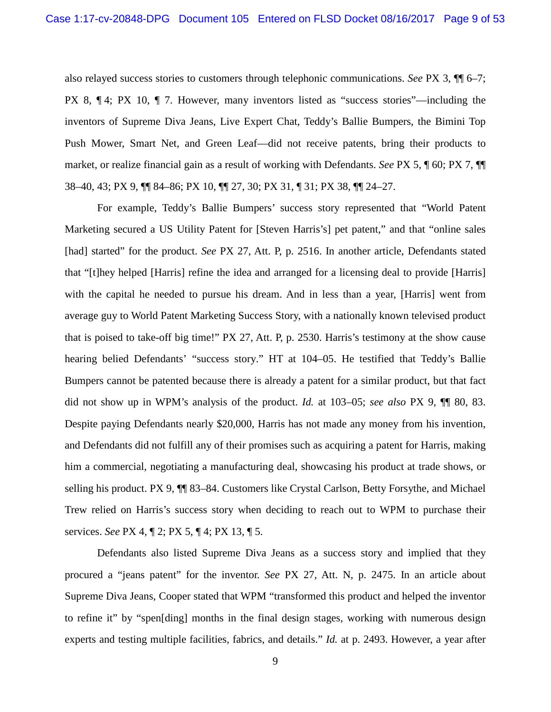also relayed success stories to customers through telephonic communications. *See* PX 3, ¶¶ 6–7; PX 8, ¶ 4; PX 10, ¶ 7. However, many inventors listed as "success stories"—including the inventors of Supreme Diva Jeans, Live Expert Chat, Teddy's Ballie Bumpers, the Bimini Top Push Mower, Smart Net, and Green Leaf—did not receive patents, bring their products to market, or realize financial gain as a result of working with Defendants. *See* PX 5, ¶ 60; PX 7, ¶¶ 38–40, 43; PX 9, ¶¶ 84–86; PX 10, ¶¶ 27, 30; PX 31, ¶ 31; PX 38, ¶¶ 24–27.

For example, Teddy's Ballie Bumpers' success story represented that "World Patent Marketing secured a US Utility Patent for [Steven Harris's] pet patent," and that "online sales [had] started" for the product. *See* PX 27, Att. P, p. 2516. In another article, Defendants stated that "[t]hey helped [Harris] refine the idea and arranged for a licensing deal to provide [Harris] with the capital he needed to pursue his dream. And in less than a year, [Harris] went from average guy to World Patent Marketing Success Story, with a nationally known televised product that is poised to take-off big time!" PX 27, Att. P, p. 2530. Harris's testimony at the show cause hearing belied Defendants' "success story." HT at 104–05. He testified that Teddy's Ballie Bumpers cannot be patented because there is already a patent for a similar product, but that fact did not show up in WPM's analysis of the product. *Id.* at 103–05; *see also* PX 9, ¶¶ 80, 83. Despite paying Defendants nearly \$20,000, Harris has not made any money from his invention, and Defendants did not fulfill any of their promises such as acquiring a patent for Harris, making him a commercial, negotiating a manufacturing deal, showcasing his product at trade shows, or selling his product. PX 9, ¶¶ 83–84. Customers like Crystal Carlson, Betty Forsythe, and Michael Trew relied on Harris's success story when deciding to reach out to WPM to purchase their services. *See* PX 4, ¶ 2; PX 5, ¶ 4; PX 13, ¶ 5.

Defendants also listed Supreme Diva Jeans as a success story and implied that they procured a "jeans patent" for the inventor. *See* PX 27, Att. N, p. 2475. In an article about Supreme Diva Jeans, Cooper stated that WPM "transformed this product and helped the inventor to refine it" by "spen[ding] months in the final design stages, working with numerous design experts and testing multiple facilities, fabrics, and details." *Id.* at p. 2493. However, a year after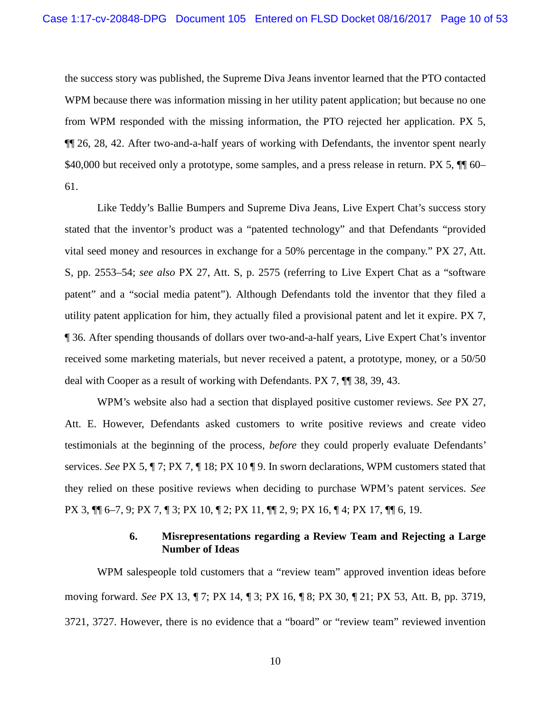the success story was published, the Supreme Diva Jeans inventor learned that the PTO contacted WPM because there was information missing in her utility patent application; but because no one from WPM responded with the missing information, the PTO rejected her application. PX 5, ¶¶ 26, 28, 42. After two-and-a-half years of working with Defendants, the inventor spent nearly \$40,000 but received only a prototype, some samples, and a press release in return. PX 5,  $\P$  60– 61.

Like Teddy's Ballie Bumpers and Supreme Diva Jeans, Live Expert Chat's success story stated that the inventor's product was a "patented technology" and that Defendants "provided vital seed money and resources in exchange for a 50% percentage in the company." PX 27, Att. S, pp. 2553–54; *see also* PX 27, Att. S, p. 2575 (referring to Live Expert Chat as a "software patent" and a "social media patent"). Although Defendants told the inventor that they filed a utility patent application for him, they actually filed a provisional patent and let it expire. PX 7, ¶ 36. After spending thousands of dollars over two-and-a-half years, Live Expert Chat's inventor received some marketing materials, but never received a patent, a prototype, money, or a 50/50 deal with Cooper as a result of working with Defendants. PX 7, ¶¶ 38, 39, 43.

WPM's website also had a section that displayed positive customer reviews. *See* PX 27, Att. E. However, Defendants asked customers to write positive reviews and create video testimonials at the beginning of the process, *before* they could properly evaluate Defendants' services. *See* PX 5, ¶ 7; PX 7, ¶ 18; PX 10 ¶ 9. In sworn declarations, WPM customers stated that they relied on these positive reviews when deciding to purchase WPM's patent services. *See* PX 3, ¶¶ 6–7, 9; PX 7, ¶ 3; PX 10, ¶ 2; PX 11, ¶¶ 2, 9; PX 16, ¶ 4; PX 17, ¶¶ 6, 19.

# **6. Misrepresentations regarding a Review Team and Rejecting a Large Number of Ideas**

WPM salespeople told customers that a "review team" approved invention ideas before moving forward. *See* PX 13, ¶ 7; PX 14, ¶ 3; PX 16, ¶ 8; PX 30, ¶ 21; PX 53, Att. B, pp. 3719, 3721, 3727. However, there is no evidence that a "board" or "review team" reviewed invention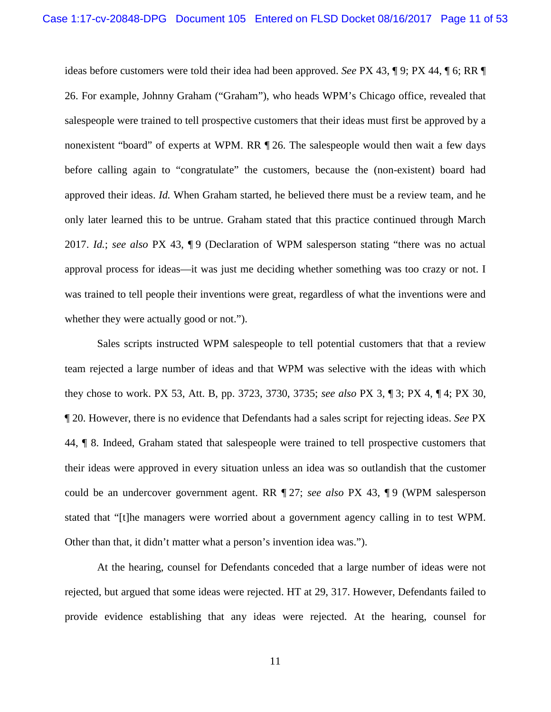ideas before customers were told their idea had been approved. *See* PX 43, ¶ 9; PX 44, ¶ 6; RR ¶ 26. For example, Johnny Graham ("Graham"), who heads WPM's Chicago office, revealed that salespeople were trained to tell prospective customers that their ideas must first be approved by a nonexistent "board" of experts at WPM. RR ¶ 26. The salespeople would then wait a few days before calling again to "congratulate" the customers, because the (non-existent) board had approved their ideas. *Id.* When Graham started, he believed there must be a review team, and he only later learned this to be untrue. Graham stated that this practice continued through March 2017. *Id.*; *see also* PX 43, ¶ 9 (Declaration of WPM salesperson stating "there was no actual approval process for ideas—it was just me deciding whether something was too crazy or not. I was trained to tell people their inventions were great, regardless of what the inventions were and whether they were actually good or not.").

Sales scripts instructed WPM salespeople to tell potential customers that that a review team rejected a large number of ideas and that WPM was selective with the ideas with which they chose to work. PX 53, Att. B, pp. 3723, 3730, 3735; *see also* PX 3, ¶ 3; PX 4, ¶ 4; PX 30, ¶ 20. However, there is no evidence that Defendants had a sales script for rejecting ideas. *See* PX 44, ¶ 8. Indeed, Graham stated that salespeople were trained to tell prospective customers that their ideas were approved in every situation unless an idea was so outlandish that the customer could be an undercover government agent. RR ¶ 27; *see also* PX 43, ¶ 9 (WPM salesperson stated that "[t]he managers were worried about a government agency calling in to test WPM. Other than that, it didn't matter what a person's invention idea was.").

At the hearing, counsel for Defendants conceded that a large number of ideas were not rejected, but argued that some ideas were rejected. HT at 29, 317. However, Defendants failed to provide evidence establishing that any ideas were rejected. At the hearing, counsel for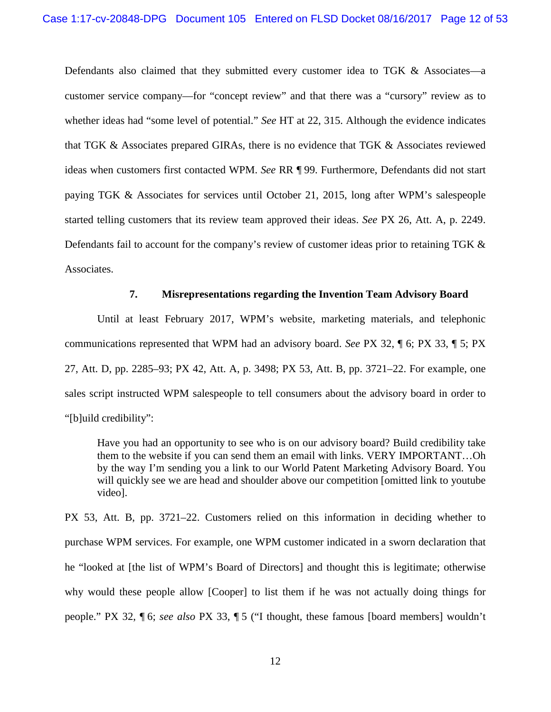Defendants also claimed that they submitted every customer idea to TGK  $\&$  Associates—a customer service company—for "concept review" and that there was a "cursory" review as to whether ideas had "some level of potential." *See* HT at 22, 315. Although the evidence indicates that TGK & Associates prepared GIRAs, there is no evidence that TGK & Associates reviewed ideas when customers first contacted WPM. *See* RR ¶ 99. Furthermore, Defendants did not start paying TGK & Associates for services until October 21, 2015, long after WPM's salespeople started telling customers that its review team approved their ideas. *See* PX 26, Att. A, p. 2249. Defendants fail to account for the company's review of customer ideas prior to retaining TGK & Associates.

## **7. Misrepresentations regarding the Invention Team Advisory Board**

Until at least February 2017, WPM's website, marketing materials, and telephonic communications represented that WPM had an advisory board. *See* PX 32, ¶ 6; PX 33, ¶ 5; PX 27, Att. D, pp. 2285–93; PX 42, Att. A, p. 3498; PX 53, Att. B, pp. 3721–22. For example, one sales script instructed WPM salespeople to tell consumers about the advisory board in order to "[b]uild credibility":

Have you had an opportunity to see who is on our advisory board? Build credibility take them to the website if you can send them an email with links. VERY IMPORTANT…Oh by the way I'm sending you a link to our World Patent Marketing Advisory Board. You will quickly see we are head and shoulder above our competition [omitted link to youtube video].

PX 53, Att. B, pp. 3721–22. Customers relied on this information in deciding whether to purchase WPM services. For example, one WPM customer indicated in a sworn declaration that he "looked at [the list of WPM's Board of Directors] and thought this is legitimate; otherwise why would these people allow [Cooper] to list them if he was not actually doing things for people." PX 32, ¶ 6; *see also* PX 33, ¶ 5 ("I thought, these famous [board members] wouldn't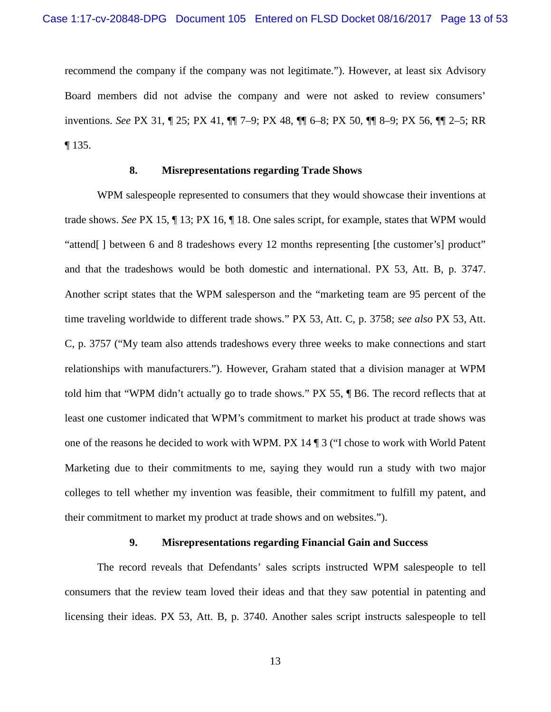recommend the company if the company was not legitimate."). However, at least six Advisory Board members did not advise the company and were not asked to review consumers' inventions. *See* PX 31, ¶ 25; PX 41, ¶¶ 7–9; PX 48, ¶¶ 6–8; PX 50, ¶¶ 8–9; PX 56, ¶¶ 2–5; RR ¶ 135.

## **8. Misrepresentations regarding Trade Shows**

WPM salespeople represented to consumers that they would showcase their inventions at trade shows. *See* PX 15, ¶ 13; PX 16, ¶ 18. One sales script, for example, states that WPM would "attend[ ] between 6 and 8 tradeshows every 12 months representing [the customer's] product" and that the tradeshows would be both domestic and international. PX 53, Att. B, p. 3747. Another script states that the WPM salesperson and the "marketing team are 95 percent of the time traveling worldwide to different trade shows." PX 53, Att. C, p. 3758; *see also* PX 53, Att. C, p. 3757 ("My team also attends tradeshows every three weeks to make connections and start relationships with manufacturers."). However, Graham stated that a division manager at WPM told him that "WPM didn't actually go to trade shows." PX 55, ¶ B6. The record reflects that at least one customer indicated that WPM's commitment to market his product at trade shows was one of the reasons he decided to work with WPM. PX 14 ¶ 3 ("I chose to work with World Patent Marketing due to their commitments to me, saying they would run a study with two major colleges to tell whether my invention was feasible, their commitment to fulfill my patent, and their commitment to market my product at trade shows and on websites.").

## **9. Misrepresentations regarding Financial Gain and Success**

The record reveals that Defendants' sales scripts instructed WPM salespeople to tell consumers that the review team loved their ideas and that they saw potential in patenting and licensing their ideas. PX 53, Att. B, p. 3740. Another sales script instructs salespeople to tell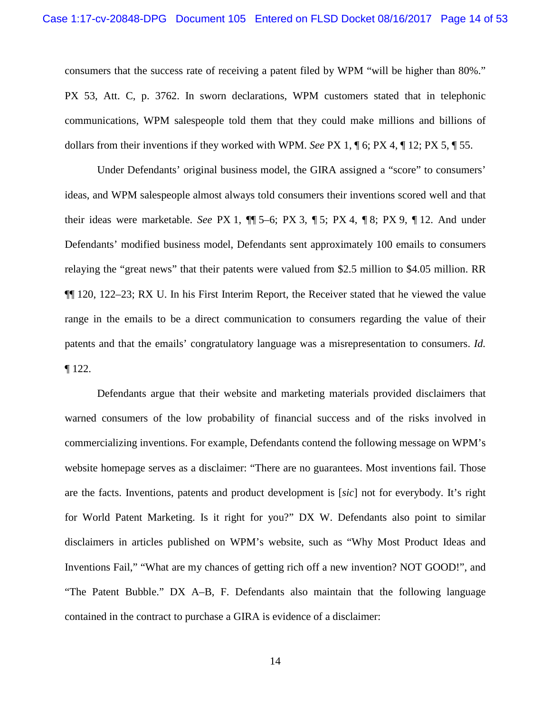consumers that the success rate of receiving a patent filed by WPM "will be higher than 80%." PX 53, Att. C, p. 3762. In sworn declarations, WPM customers stated that in telephonic communications, WPM salespeople told them that they could make millions and billions of dollars from their inventions if they worked with WPM. *See* PX 1, ¶ 6; PX 4, ¶ 12; PX 5, ¶ 55.

Under Defendants' original business model, the GIRA assigned a "score" to consumers' ideas, and WPM salespeople almost always told consumers their inventions scored well and that their ideas were marketable. *See* PX 1, ¶¶ 5–6; PX 3, ¶ 5; PX 4, ¶ 8; PX 9, ¶ 12. And under Defendants' modified business model, Defendants sent approximately 100 emails to consumers relaying the "great news" that their patents were valued from \$2.5 million to \$4.05 million. RR ¶¶ 120, 122–23; RX U. In his First Interim Report, the Receiver stated that he viewed the value range in the emails to be a direct communication to consumers regarding the value of their patents and that the emails' congratulatory language was a misrepresentation to consumers. *Id.* ¶ 122.

Defendants argue that their website and marketing materials provided disclaimers that warned consumers of the low probability of financial success and of the risks involved in commercializing inventions. For example, Defendants contend the following message on WPM's website homepage serves as a disclaimer: "There are no guarantees. Most inventions fail. Those are the facts. Inventions, patents and product development is [*sic*] not for everybody. It's right for World Patent Marketing. Is it right for you?" DX W. Defendants also point to similar disclaimers in articles published on WPM's website, such as "Why Most Product Ideas and Inventions Fail," "What are my chances of getting rich off a new invention? NOT GOOD!", and "The Patent Bubble." DX A–B, F. Defendants also maintain that the following language contained in the contract to purchase a GIRA is evidence of a disclaimer: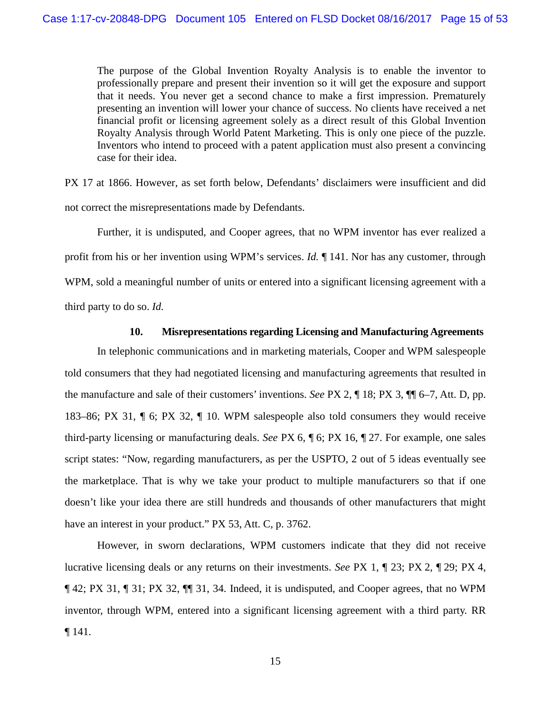The purpose of the Global Invention Royalty Analysis is to enable the inventor to professionally prepare and present their invention so it will get the exposure and support that it needs. You never get a second chance to make a first impression. Prematurely presenting an invention will lower your chance of success. No clients have received a net financial profit or licensing agreement solely as a direct result of this Global Invention Royalty Analysis through World Patent Marketing. This is only one piece of the puzzle. Inventors who intend to proceed with a patent application must also present a convincing case for their idea.

PX 17 at 1866. However, as set forth below, Defendants' disclaimers were insufficient and did not correct the misrepresentations made by Defendants.

Further, it is undisputed, and Cooper agrees, that no WPM inventor has ever realized a profit from his or her invention using WPM's services. *Id.* ¶ 141. Nor has any customer, through WPM, sold a meaningful number of units or entered into a significant licensing agreement with a third party to do so. *Id.*

## **10. Misrepresentations regarding Licensing and Manufacturing Agreements**

In telephonic communications and in marketing materials, Cooper and WPM salespeople told consumers that they had negotiated licensing and manufacturing agreements that resulted in the manufacture and sale of their customers' inventions. *See* PX 2, ¶ 18; PX 3, ¶¶ 6–7, Att. D, pp. 183–86; PX 31, ¶ 6; PX 32, ¶ 10. WPM salespeople also told consumers they would receive third-party licensing or manufacturing deals. *See* PX 6, ¶ 6; PX 16, ¶ 27. For example, one sales script states: "Now, regarding manufacturers, as per the USPTO, 2 out of 5 ideas eventually see the marketplace. That is why we take your product to multiple manufacturers so that if one doesn't like your idea there are still hundreds and thousands of other manufacturers that might have an interest in your product." PX 53, Att. C, p. 3762.

However, in sworn declarations, WPM customers indicate that they did not receive lucrative licensing deals or any returns on their investments. *See* PX 1, ¶ 23; PX 2, ¶ 29; PX 4, ¶ 42; PX 31, ¶ 31; PX 32, ¶¶ 31, 34. Indeed, it is undisputed, and Cooper agrees, that no WPM inventor, through WPM, entered into a significant licensing agreement with a third party. RR ¶ 141.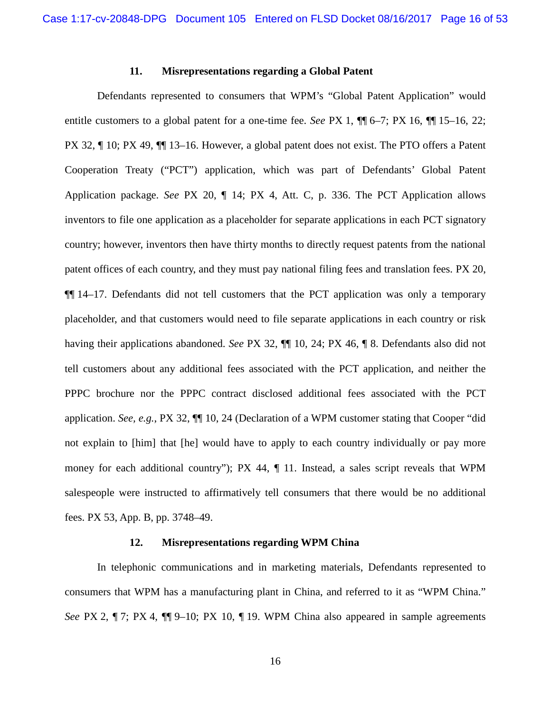#### **11. Misrepresentations regarding a Global Patent**

Defendants represented to consumers that WPM's "Global Patent Application" would entitle customers to a global patent for a one-time fee. *See* PX 1, ¶¶ 6–7; PX 16, ¶¶ 15–16, 22; PX 32, ¶ 10; PX 49, ¶¶ 13–16. However, a global patent does not exist. The PTO offers a Patent Cooperation Treaty ("PCT") application, which was part of Defendants' Global Patent Application package. *See* PX 20, ¶ 14; PX 4, Att. C, p. 336. The PCT Application allows inventors to file one application as a placeholder for separate applications in each PCT signatory country; however, inventors then have thirty months to directly request patents from the national patent offices of each country, and they must pay national filing fees and translation fees. PX 20, ¶¶ 14–17. Defendants did not tell customers that the PCT application was only a temporary placeholder, and that customers would need to file separate applications in each country or risk having their applications abandoned. *See* PX 32, ¶¶ 10, 24; PX 46, ¶ 8. Defendants also did not tell customers about any additional fees associated with the PCT application, and neither the PPPC brochure nor the PPPC contract disclosed additional fees associated with the PCT application. *See, e.g.*, PX 32, ¶¶ 10, 24 (Declaration of a WPM customer stating that Cooper "did not explain to [him] that [he] would have to apply to each country individually or pay more money for each additional country"); PX 44,  $\P$  11. Instead, a sales script reveals that WPM salespeople were instructed to affirmatively tell consumers that there would be no additional fees. PX 53, App. B, pp. 3748–49.

### **12. Misrepresentations regarding WPM China**

In telephonic communications and in marketing materials, Defendants represented to consumers that WPM has a manufacturing plant in China, and referred to it as "WPM China." *See* PX 2, ¶ 7; PX 4, ¶ 9–10; PX 10, ¶ 19. WPM China also appeared in sample agreements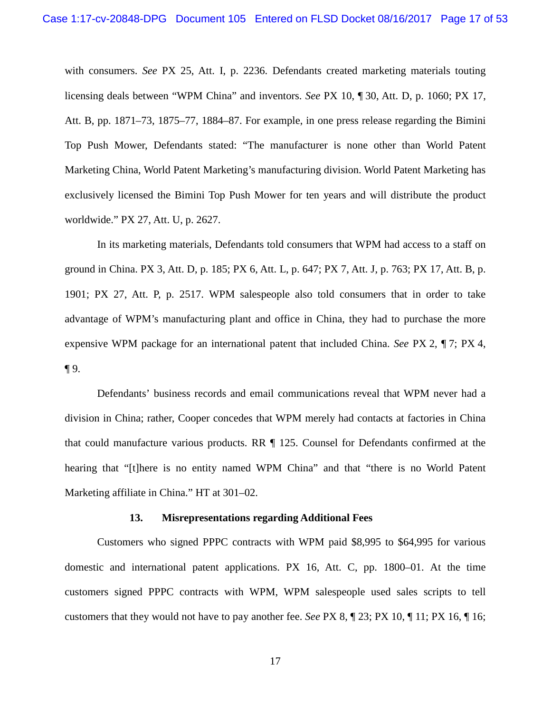with consumers. *See* PX 25, Att. I, p. 2236. Defendants created marketing materials touting licensing deals between "WPM China" and inventors. *See* PX 10, ¶ 30, Att. D, p. 1060; PX 17, Att. B, pp. 1871–73, 1875–77, 1884–87. For example, in one press release regarding the Bimini Top Push Mower, Defendants stated: "The manufacturer is none other than World Patent Marketing China, World Patent Marketing's manufacturing division. World Patent Marketing has exclusively licensed the Bimini Top Push Mower for ten years and will distribute the product worldwide." PX 27, Att. U, p. 2627.

In its marketing materials, Defendants told consumers that WPM had access to a staff on ground in China. PX 3, Att. D, p. 185; PX 6, Att. L, p. 647; PX 7, Att. J, p. 763; PX 17, Att. B, p. 1901; PX 27, Att. P, p. 2517. WPM salespeople also told consumers that in order to take advantage of WPM's manufacturing plant and office in China, they had to purchase the more expensive WPM package for an international patent that included China. *See* PX 2, ¶ 7; PX 4, ¶ 9.

Defendants' business records and email communications reveal that WPM never had a division in China; rather, Cooper concedes that WPM merely had contacts at factories in China that could manufacture various products. RR ¶ 125. Counsel for Defendants confirmed at the hearing that "[t]here is no entity named WPM China" and that "there is no World Patent" Marketing affiliate in China." HT at 301–02.

#### **13. Misrepresentations regarding Additional Fees**

Customers who signed PPPC contracts with WPM paid \$8,995 to \$64,995 for various domestic and international patent applications. PX 16, Att. C, pp. 1800–01. At the time customers signed PPPC contracts with WPM, WPM salespeople used sales scripts to tell customers that they would not have to pay another fee. *See* PX 8, ¶ 23; PX 10, ¶ 11; PX 16, ¶ 16;

17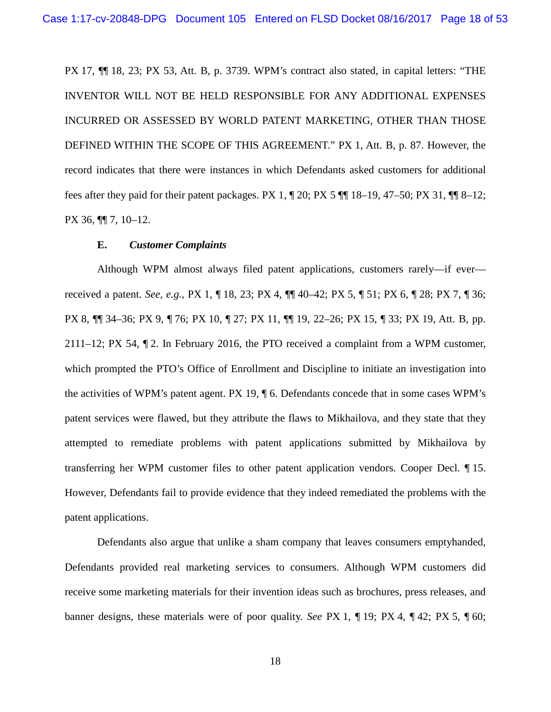PX 17, ¶¶ 18, 23; PX 53, Att. B, p. 3739. WPM's contract also stated, in capital letters: "THE INVENTOR WILL NOT BE HELD RESPONSIBLE FOR ANY ADDITIONAL EXPENSES INCURRED OR ASSESSED BY WORLD PATENT MARKETING, OTHER THAN THOSE DEFINED WITHIN THE SCOPE OF THIS AGREEMENT." PX 1, Att. B, p. 87. However, the record indicates that there were instances in which Defendants asked customers for additional fees after they paid for their patent packages. PX 1, ¶ 20; PX 5 ¶¶ 18–19, 47–50; PX 31, ¶¶ 8–12; PX 36, ¶¶ 7, 10–12.

#### **E.** *Customer Complaints*

Although WPM almost always filed patent applications, customers rarely—if ever received a patent. *See, e.g.*, PX 1, ¶ 18, 23; PX 4, ¶¶ 40–42; PX 5, ¶ 51; PX 6, ¶ 28; PX 7, ¶ 36; PX 8, ¶¶ 34–36; PX 9, ¶ 76; PX 10, ¶ 27; PX 11, ¶¶ 19, 22–26; PX 15, ¶ 33; PX 19, Att. B, pp. 2111–12; PX 54, ¶ 2. In February 2016, the PTO received a complaint from a WPM customer, which prompted the PTO's Office of Enrollment and Discipline to initiate an investigation into the activities of WPM's patent agent. PX 19, ¶ 6. Defendants concede that in some cases WPM's patent services were flawed, but they attribute the flaws to Mikhailova, and they state that they attempted to remediate problems with patent applications submitted by Mikhailova by transferring her WPM customer files to other patent application vendors. Cooper Decl. ¶ 15. However, Defendants fail to provide evidence that they indeed remediated the problems with the patent applications.

Defendants also argue that unlike a sham company that leaves consumers emptyhanded, Defendants provided real marketing services to consumers. Although WPM customers did receive some marketing materials for their invention ideas such as brochures, press releases, and banner designs, these materials were of poor quality. *See* PX 1, ¶ 19; PX 4, ¶ 42; PX 5, ¶ 60;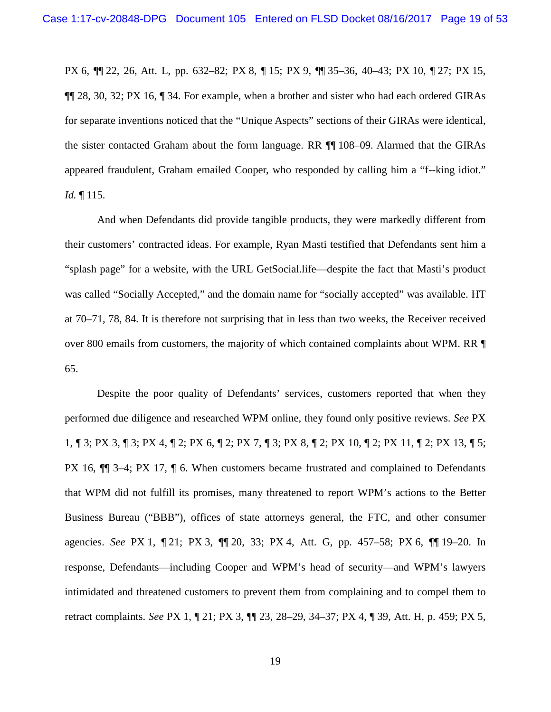PX 6, ¶¶ 22, 26, Att. L, pp. 632–82; PX 8, ¶ 15; PX 9, ¶¶ 35–36, 40–43; PX 10, ¶ 27; PX 15, ¶¶ 28, 30, 32; PX 16, ¶ 34. For example, when a brother and sister who had each ordered GIRAs for separate inventions noticed that the "Unique Aspects" sections of their GIRAs were identical, the sister contacted Graham about the form language. RR ¶¶ 108–09. Alarmed that the GIRAs appeared fraudulent, Graham emailed Cooper, who responded by calling him a "f--king idiot." *Id.* ¶ 115.

And when Defendants did provide tangible products, they were markedly different from their customers' contracted ideas. For example, Ryan Masti testified that Defendants sent him a "splash page" for a website, with the URL GetSocial.life—despite the fact that Masti's product was called "Socially Accepted," and the domain name for "socially accepted" was available. HT at 70–71, 78, 84. It is therefore not surprising that in less than two weeks, the Receiver received over 800 emails from customers, the majority of which contained complaints about WPM. RR ¶ 65.

Despite the poor quality of Defendants' services, customers reported that when they performed due diligence and researched WPM online, they found only positive reviews. *See* PX 1, ¶ 3; PX 3, ¶ 3; PX 4, ¶ 2; PX 6, ¶ 2; PX 7, ¶ 3; PX 8, ¶ 2; PX 10, ¶ 2; PX 11, ¶ 2; PX 13, ¶ 5; PX 16, ¶¶ 3–4; PX 17, ¶ 6. When customers became frustrated and complained to Defendants that WPM did not fulfill its promises, many threatened to report WPM's actions to the Better Business Bureau ("BBB"), offices of state attorneys general, the FTC, and other consumer agencies. *See* PX 1, ¶ 21; PX 3, ¶¶ 20, 33; PX 4, Att. G, pp. 457–58; PX 6, ¶¶ 19–20. In response, Defendants—including Cooper and WPM's head of security—and WPM's lawyers intimidated and threatened customers to prevent them from complaining and to compel them to retract complaints. *See* PX 1, ¶ 21; PX 3, ¶¶ 23, 28–29, 34–37; PX 4, ¶ 39, Att. H, p. 459; PX 5,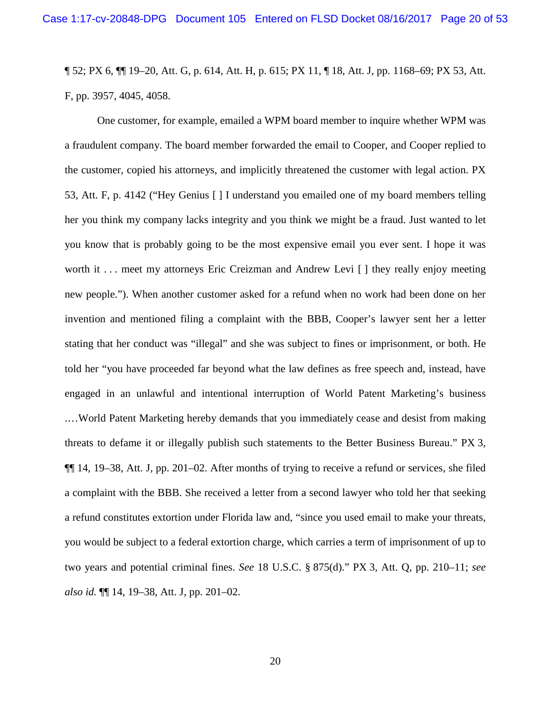¶ 52; PX 6, ¶¶ 19–20, Att. G, p. 614, Att. H, p. 615; PX 11, ¶ 18, Att. J, pp. 1168–69; PX 53, Att. F, pp. 3957, 4045, 4058.

One customer, for example, emailed a WPM board member to inquire whether WPM was a fraudulent company. The board member forwarded the email to Cooper, and Cooper replied to the customer, copied his attorneys, and implicitly threatened the customer with legal action. PX 53, Att. F, p. 4142 ("Hey Genius [ ] I understand you emailed one of my board members telling her you think my company lacks integrity and you think we might be a fraud. Just wanted to let you know that is probably going to be the most expensive email you ever sent. I hope it was worth it ... meet my attorneys Eric Creizman and Andrew Levi [ ] they really enjoy meeting new people."). When another customer asked for a refund when no work had been done on her invention and mentioned filing a complaint with the BBB, Cooper's lawyer sent her a letter stating that her conduct was "illegal" and she was subject to fines or imprisonment, or both. He told her "you have proceeded far beyond what the law defines as free speech and, instead, have engaged in an unlawful and intentional interruption of World Patent Marketing's business .…World Patent Marketing hereby demands that you immediately cease and desist from making threats to defame it or illegally publish such statements to the Better Business Bureau." PX 3, ¶¶ 14, 19–38, Att. J, pp. 201–02. After months of trying to receive a refund or services, she filed a complaint with the BBB. She received a letter from a second lawyer who told her that seeking a refund constitutes extortion under Florida law and, "since you used email to make your threats, you would be subject to a federal extortion charge, which carries a term of imprisonment of up to two years and potential criminal fines. *See* 18 U.S.C. § 875(d)." PX 3, Att. Q, pp. 210–11; *see also id.* ¶¶ 14, 19–38, Att. J, pp. 201–02.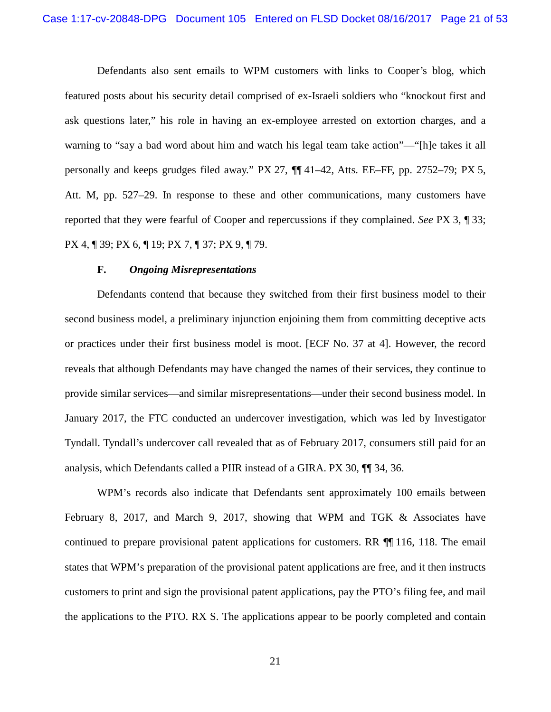Defendants also sent emails to WPM customers with links to Cooper's blog, which featured posts about his security detail comprised of ex-Israeli soldiers who "knockout first and ask questions later," his role in having an ex-employee arrested on extortion charges, and a warning to "say a bad word about him and watch his legal team take action"—"[h]e takes it all personally and keeps grudges filed away." PX 27, ¶¶ 41–42, Atts. EE–FF, pp. 2752–79; PX 5, Att. M, pp. 527–29. In response to these and other communications, many customers have reported that they were fearful of Cooper and repercussions if they complained. *See* PX 3, ¶ 33; PX 4, ¶ 39; PX 6, ¶ 19; PX 7, ¶ 37; PX 9, ¶ 79.

#### **F.** *Ongoing Misrepresentations*

Defendants contend that because they switched from their first business model to their second business model, a preliminary injunction enjoining them from committing deceptive acts or practices under their first business model is moot. [ECF No. 37 at 4]. However, the record reveals that although Defendants may have changed the names of their services, they continue to provide similar services—and similar misrepresentations—under their second business model. In January 2017, the FTC conducted an undercover investigation, which was led by Investigator Tyndall. Tyndall's undercover call revealed that as of February 2017, consumers still paid for an analysis, which Defendants called a PIIR instead of a GIRA. PX 30, ¶¶ 34, 36.

WPM's records also indicate that Defendants sent approximately 100 emails between February 8, 2017, and March 9, 2017, showing that WPM and TGK & Associates have continued to prepare provisional patent applications for customers. RR ¶¶ 116, 118. The email states that WPM's preparation of the provisional patent applications are free, and it then instructs customers to print and sign the provisional patent applications, pay the PTO's filing fee, and mail the applications to the PTO. RX S. The applications appear to be poorly completed and contain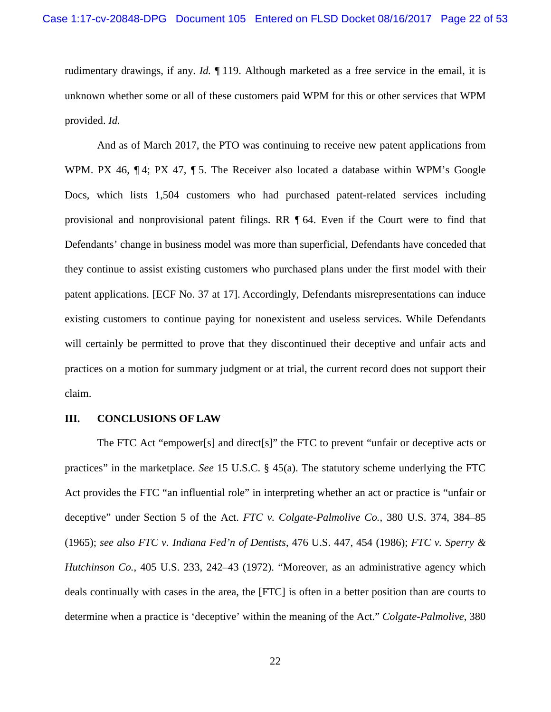rudimentary drawings, if any. *Id.* ¶ 119. Although marketed as a free service in the email, it is unknown whether some or all of these customers paid WPM for this or other services that WPM provided. *Id.*

And as of March 2017, the PTO was continuing to receive new patent applications from WPM. PX 46,  $\P$ 4; PX 47,  $\P$ 5. The Receiver also located a database within WPM's Google Docs, which lists 1,504 customers who had purchased patent-related services including provisional and nonprovisional patent filings. RR ¶ 64. Even if the Court were to find that Defendants' change in business model was more than superficial, Defendants have conceded that they continue to assist existing customers who purchased plans under the first model with their patent applications. [ECF No. 37 at 17]. Accordingly, Defendants misrepresentations can induce existing customers to continue paying for nonexistent and useless services. While Defendants will certainly be permitted to prove that they discontinued their deceptive and unfair acts and practices on a motion for summary judgment or at trial, the current record does not support their claim.

#### **III. CONCLUSIONS OF LAW**

The FTC Act "empower[s] and direct[s]" the FTC to prevent "unfair or deceptive acts or practices" in the marketplace. *See* 15 U.S.C. § 45(a). The statutory scheme underlying the FTC Act provides the FTC "an influential role" in interpreting whether an act or practice is "unfair or deceptive" under Section 5 of the Act. *FTC v. Colgate-Palmolive Co.*, 380 U.S. 374, 384–85 (1965); *see also FTC v. Indiana Fed'n of Dentists*, 476 U.S. 447, 454 (1986); *FTC v. Sperry & Hutchinson Co.*, 405 U.S. 233, 242–43 (1972). "Moreover, as an administrative agency which deals continually with cases in the area, the [FTC] is often in a better position than are courts to determine when a practice is 'deceptive' within the meaning of the Act." *Colgate-Palmolive*, 380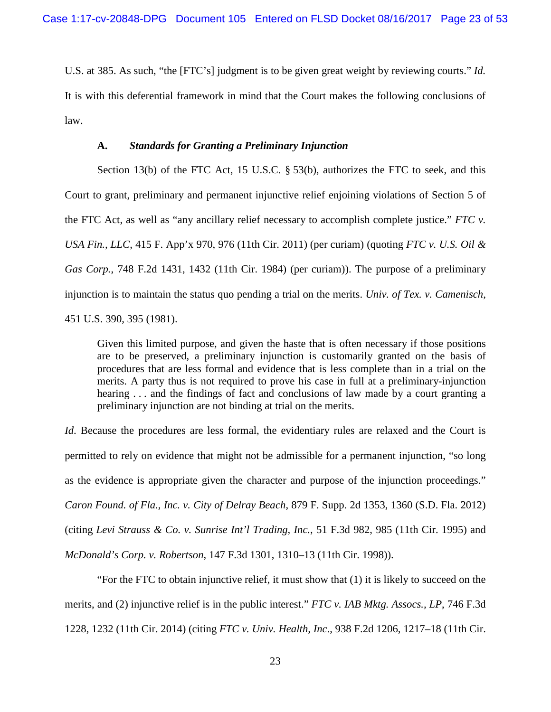U.S. at 385. As such, "the [FTC's] judgment is to be given great weight by reviewing courts." *Id.* It is with this deferential framework in mind that the Court makes the following conclusions of law.

## **A.** *Standards for Granting a Preliminary Injunction*

Section 13(b) of the FTC Act, 15 U.S.C. § 53(b), authorizes the FTC to seek, and this Court to grant, preliminary and permanent injunctive relief enjoining violations of Section 5 of the FTC Act, as well as "any ancillary relief necessary to accomplish complete justice." *FTC v. USA Fin., LLC*, 415 F. App'x 970, 976 (11th Cir. 2011) (per curiam) (quoting *FTC v. U.S. Oil & Gas Corp.*, 748 F.2d 1431, 1432 (11th Cir. 1984) (per curiam)). The purpose of a preliminary injunction is to maintain the status quo pending a trial on the merits. *Univ. of Tex. v. Camenisch*, 451 U.S. 390, 395 (1981).

Given this limited purpose, and given the haste that is often necessary if those positions are to be preserved, a preliminary injunction is customarily granted on the basis of procedures that are less formal and evidence that is less complete than in a trial on the merits. A party thus is not required to prove his case in full at a preliminary-injunction hearing ... and the findings of fact and conclusions of law made by a court granting a preliminary injunction are not binding at trial on the merits.

*Id.* Because the procedures are less formal, the evidentiary rules are relaxed and the Court is permitted to rely on evidence that might not be admissible for a permanent injunction, "so long as the evidence is appropriate given the character and purpose of the injunction proceedings." *Caron Found. of Fla., Inc. v. City of Delray Beach*, 879 F. Supp. 2d 1353, 1360 (S.D. Fla. 2012) (citing *Levi Strauss & Co. v. Sunrise Int'l Trading, Inc.*, 51 F.3d 982, 985 (11th Cir. 1995) and *McDonald's Corp. v. Robertson*, 147 F.3d 1301, 1310–13 (11th Cir. 1998)).

"For the FTC to obtain injunctive relief, it must show that (1) it is likely to succeed on the merits, and (2) injunctive relief is in the public interest." *FTC v. IAB Mktg. Assocs., LP*, 746 F.3d 1228, 1232 (11th Cir. 2014) (citing *FTC v. Univ. Health, Inc*., 938 F.2d 1206, 1217–18 (11th Cir.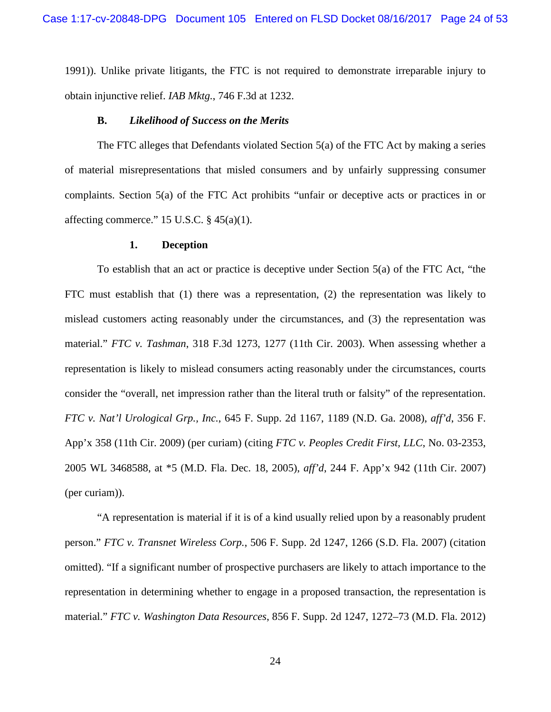1991)). Unlike private litigants, the FTC is not required to demonstrate irreparable injury to obtain injunctive relief. *IAB Mktg.*, 746 F.3d at 1232.

### **B.** *Likelihood of Success on the Merits*

The FTC alleges that Defendants violated Section 5(a) of the FTC Act by making a series of material misrepresentations that misled consumers and by unfairly suppressing consumer complaints. Section 5(a) of the FTC Act prohibits "unfair or deceptive acts or practices in or affecting commerce." 15 U.S.C.  $\S$  45(a)(1).

#### **1. Deception**

To establish that an act or practice is deceptive under Section 5(a) of the FTC Act, "the FTC must establish that (1) there was a representation, (2) the representation was likely to mislead customers acting reasonably under the circumstances, and (3) the representation was material." *FTC v. Tashman*, 318 F.3d 1273, 1277 (11th Cir. 2003). When assessing whether a representation is likely to mislead consumers acting reasonably under the circumstances, courts consider the "overall, net impression rather than the literal truth or falsity" of the representation. *FTC v. Nat'l Urological Grp., Inc.*, 645 F. Supp. 2d 1167, 1189 (N.D. Ga. 2008), *aff'd*, 356 F. App'x 358 (11th Cir. 2009) (per curiam) (citing *FTC v. Peoples Credit First, LLC*, No. 03-2353, 2005 WL 3468588, at \*5 (M.D. Fla. Dec. 18, 2005), *aff'd*, 244 F. App'x 942 (11th Cir. 2007) (per curiam)).

"A representation is material if it is of a kind usually relied upon by a reasonably prudent person." *FTC v. Transnet Wireless Corp.*, 506 F. Supp. 2d 1247, 1266 (S.D. Fla. 2007) (citation omitted). "If a significant number of prospective purchasers are likely to attach importance to the representation in determining whether to engage in a proposed transaction, the representation is material." *FTC v. Washington Data Resources*, 856 F. Supp. 2d 1247, 1272–73 (M.D. Fla. 2012)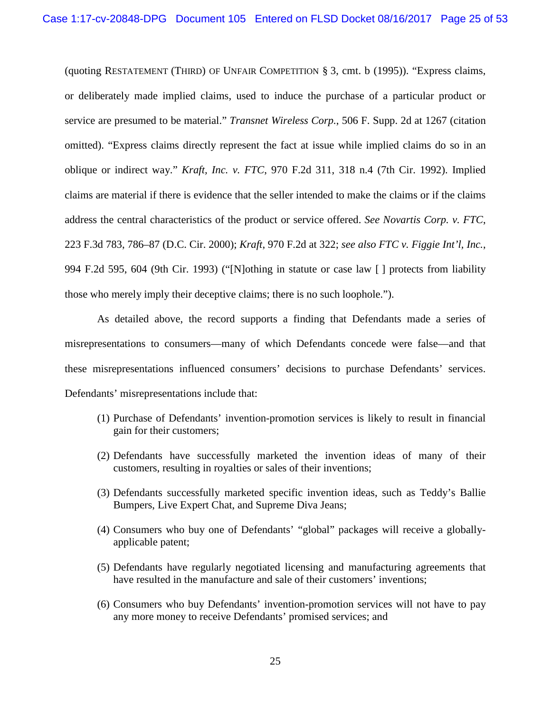(quoting RESTATEMENT (THIRD) OF UNFAIR COMPETITION § 3, cmt. b (1995)). "Express claims, or deliberately made implied claims, used to induce the purchase of a particular product or service are presumed to be material." *Transnet Wireless Corp.*, 506 F. Supp. 2d at 1267 (citation omitted). "Express claims directly represent the fact at issue while implied claims do so in an oblique or indirect way." *Kraft, Inc. v. FTC*, 970 F.2d 311, 318 n.4 (7th Cir. 1992). Implied claims are material if there is evidence that the seller intended to make the claims or if the claims address the central characteristics of the product or service offered. *See Novartis Corp. v. FTC*, 223 F.3d 783, 786–87 (D.C. Cir. 2000); *Kraft*, 970 F.2d at 322; *see also FTC v. Figgie Int'l, Inc.*, 994 F.2d 595, 604 (9th Cir. 1993) ("[N]othing in statute or case law [ ] protects from liability those who merely imply their deceptive claims; there is no such loophole.").

As detailed above, the record supports a finding that Defendants made a series of misrepresentations to consumers—many of which Defendants concede were false—and that these misrepresentations influenced consumers' decisions to purchase Defendants' services. Defendants' misrepresentations include that:

- (1) Purchase of Defendants' invention-promotion services is likely to result in financial gain for their customers;
- (2) Defendants have successfully marketed the invention ideas of many of their customers, resulting in royalties or sales of their inventions;
- (3) Defendants successfully marketed specific invention ideas, such as Teddy's Ballie Bumpers, Live Expert Chat, and Supreme Diva Jeans;
- (4) Consumers who buy one of Defendants' "global" packages will receive a globallyapplicable patent;
- (5) Defendants have regularly negotiated licensing and manufacturing agreements that have resulted in the manufacture and sale of their customers' inventions;
- (6) Consumers who buy Defendants' invention-promotion services will not have to pay any more money to receive Defendants' promised services; and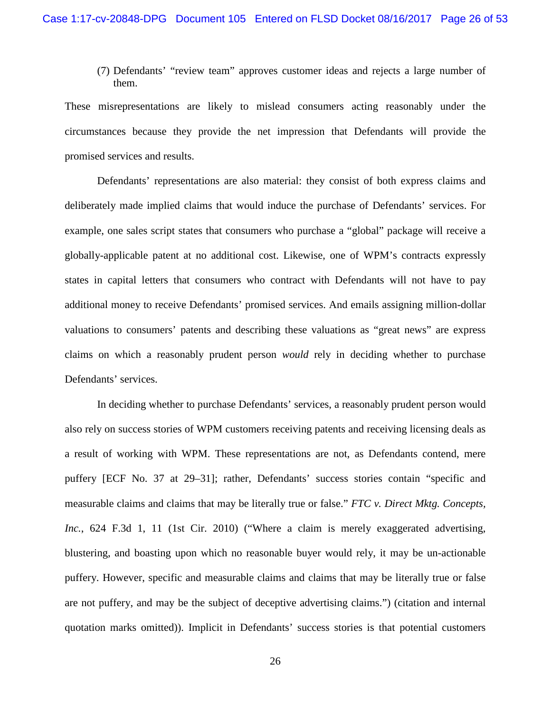(7) Defendants' "review team" approves customer ideas and rejects a large number of them.

These misrepresentations are likely to mislead consumers acting reasonably under the circumstances because they provide the net impression that Defendants will provide the promised services and results.

Defendants' representations are also material: they consist of both express claims and deliberately made implied claims that would induce the purchase of Defendants' services. For example, one sales script states that consumers who purchase a "global" package will receive a globally-applicable patent at no additional cost. Likewise, one of WPM's contracts expressly states in capital letters that consumers who contract with Defendants will not have to pay additional money to receive Defendants' promised services. And emails assigning million-dollar valuations to consumers' patents and describing these valuations as "great news" are express claims on which a reasonably prudent person *would* rely in deciding whether to purchase Defendants' services.

In deciding whether to purchase Defendants' services, a reasonably prudent person would also rely on success stories of WPM customers receiving patents and receiving licensing deals as a result of working with WPM. These representations are not, as Defendants contend, mere puffery [ECF No. 37 at 29–31]; rather, Defendants' success stories contain "specific and measurable claims and claims that may be literally true or false." *FTC v. Direct Mktg. Concepts, Inc.*, 624 F.3d 1, 11 (1st Cir. 2010) ("Where a claim is merely exaggerated advertising, blustering, and boasting upon which no reasonable buyer would rely, it may be un-actionable puffery. However, specific and measurable claims and claims that may be literally true or false are not puffery, and may be the subject of deceptive advertising claims.") (citation and internal quotation marks omitted)). Implicit in Defendants' success stories is that potential customers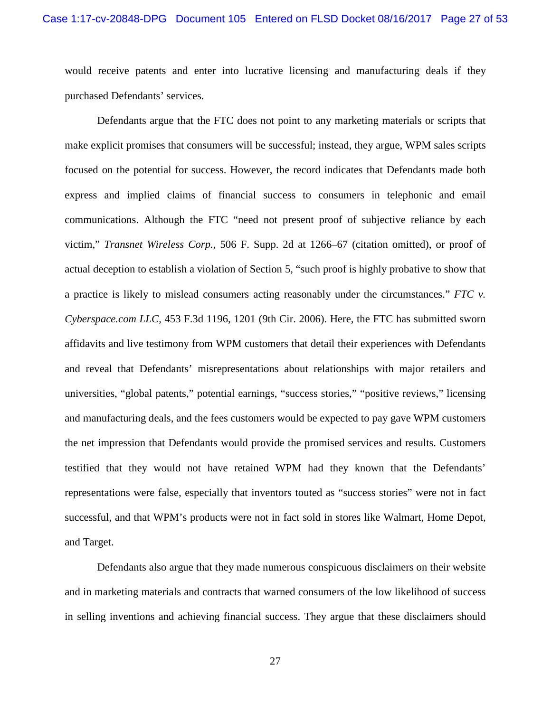would receive patents and enter into lucrative licensing and manufacturing deals if they purchased Defendants' services.

Defendants argue that the FTC does not point to any marketing materials or scripts that make explicit promises that consumers will be successful; instead, they argue, WPM sales scripts focused on the potential for success. However, the record indicates that Defendants made both express and implied claims of financial success to consumers in telephonic and email communications. Although the FTC "need not present proof of subjective reliance by each victim," *Transnet Wireless Corp.*, 506 F. Supp. 2d at 1266–67 (citation omitted), or proof of actual deception to establish a violation of Section 5, "such proof is highly probative to show that a practice is likely to mislead consumers acting reasonably under the circumstances." *FTC v. Cyberspace.com LLC*, 453 F.3d 1196, 1201 (9th Cir. 2006). Here, the FTC has submitted sworn affidavits and live testimony from WPM customers that detail their experiences with Defendants and reveal that Defendants' misrepresentations about relationships with major retailers and universities, "global patents," potential earnings, "success stories," "positive reviews," licensing and manufacturing deals, and the fees customers would be expected to pay gave WPM customers the net impression that Defendants would provide the promised services and results. Customers testified that they would not have retained WPM had they known that the Defendants' representations were false, especially that inventors touted as "success stories" were not in fact successful, and that WPM's products were not in fact sold in stores like Walmart, Home Depot, and Target.

Defendants also argue that they made numerous conspicuous disclaimers on their website and in marketing materials and contracts that warned consumers of the low likelihood of success in selling inventions and achieving financial success. They argue that these disclaimers should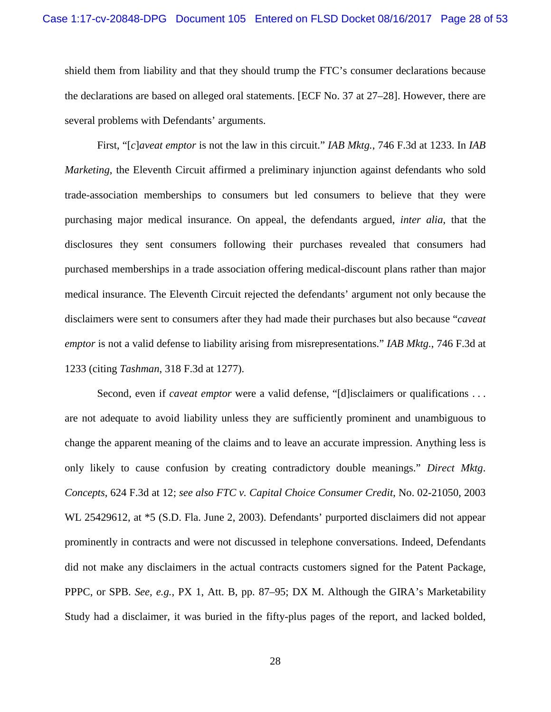shield them from liability and that they should trump the FTC's consumer declarations because the declarations are based on alleged oral statements. [ECF No. 37 at 27–28]. However, there are several problems with Defendants' arguments.

First, "[*c*]*aveat emptor* is not the law in this circuit." *IAB Mktg.*, 746 F.3d at 1233. In *IAB Marketing*, the Eleventh Circuit affirmed a preliminary injunction against defendants who sold trade-association memberships to consumers but led consumers to believe that they were purchasing major medical insurance. On appeal, the defendants argued, *inter alia*, that the disclosures they sent consumers following their purchases revealed that consumers had purchased memberships in a trade association offering medical-discount plans rather than major medical insurance. The Eleventh Circuit rejected the defendants' argument not only because the disclaimers were sent to consumers after they had made their purchases but also because "*caveat emptor* is not a valid defense to liability arising from misrepresentations." *IAB Mktg.*, 746 F.3d at 1233 (citing *Tashman*, 318 F.3d at 1277).

Second, even if *caveat emptor* were a valid defense, "[d]isclaimers or qualifications . . . are not adequate to avoid liability unless they are sufficiently prominent and unambiguous to change the apparent meaning of the claims and to leave an accurate impression. Anything less is only likely to cause confusion by creating contradictory double meanings." *Direct Mktg*. *Concepts*, 624 F.3d at 12; *see also FTC v. Capital Choice Consumer Credit*, No. 02-21050, 2003 WL 25429612, at \*5 (S.D. Fla. June 2, 2003). Defendants' purported disclaimers did not appear prominently in contracts and were not discussed in telephone conversations. Indeed, Defendants did not make any disclaimers in the actual contracts customers signed for the Patent Package, PPPC, or SPB. *See, e.g.*, PX 1, Att. B, pp. 87–95; DX M. Although the GIRA's Marketability Study had a disclaimer, it was buried in the fifty-plus pages of the report, and lacked bolded,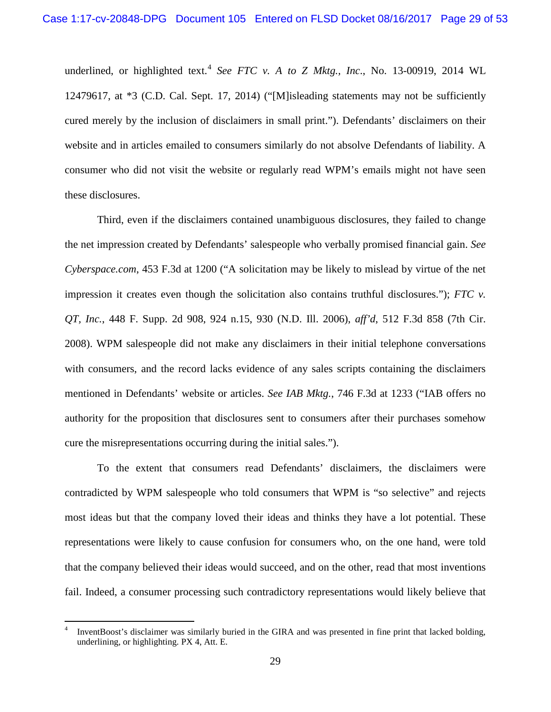underlined, or highlighted text.<sup>[4](#page-28-0)</sup> *See FTC v. A to Z Mktg., Inc., No.* 13-00919, 2014 WL 12479617, at \*3 (C.D. Cal. Sept. 17, 2014) ("[M]isleading statements may not be sufficiently cured merely by the inclusion of disclaimers in small print."). Defendants' disclaimers on their website and in articles emailed to consumers similarly do not absolve Defendants of liability. A consumer who did not visit the website or regularly read WPM's emails might not have seen these disclosures.

Third, even if the disclaimers contained unambiguous disclosures, they failed to change the net impression created by Defendants' salespeople who verbally promised financial gain. *See Cyberspace.com*, 453 F.3d at 1200 ("A solicitation may be likely to mislead by virtue of the net impression it creates even though the solicitation also contains truthful disclosures."); *FTC v. QT, Inc.*, 448 F. Supp. 2d 908, 924 n.15, 930 (N.D. Ill. 2006), *aff'd*, 512 F.3d 858 (7th Cir. 2008). WPM salespeople did not make any disclaimers in their initial telephone conversations with consumers, and the record lacks evidence of any sales scripts containing the disclaimers mentioned in Defendants' website or articles. *See IAB Mktg.*, 746 F.3d at 1233 ("IAB offers no authority for the proposition that disclosures sent to consumers after their purchases somehow cure the misrepresentations occurring during the initial sales.").

To the extent that consumers read Defendants' disclaimers, the disclaimers were contradicted by WPM salespeople who told consumers that WPM is "so selective" and rejects most ideas but that the company loved their ideas and thinks they have a lot potential. These representations were likely to cause confusion for consumers who, on the one hand, were told that the company believed their ideas would succeed, and on the other, read that most inventions fail. Indeed, a consumer processing such contradictory representations would likely believe that

<span id="page-28-0"></span>InventBoost's disclaimer was similarly buried in the GIRA and was presented in fine print that lacked bolding, underlining, or highlighting. PX 4, Att. E.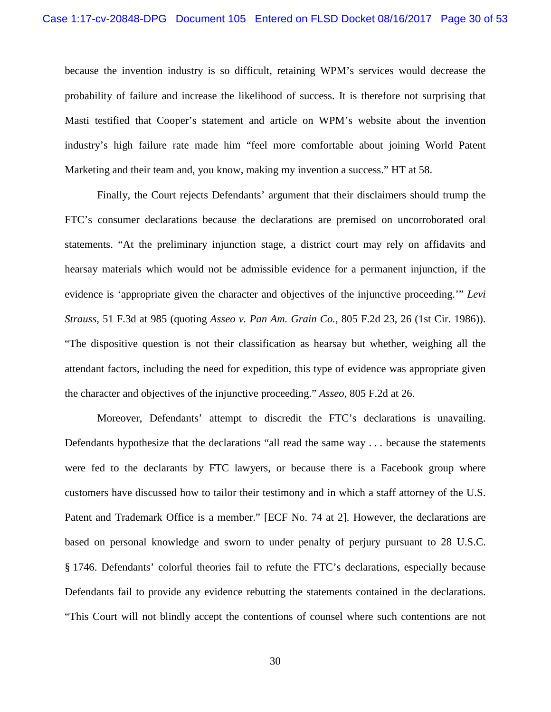because the invention industry is so difficult, retaining WPM's services would decrease the probability of failure and increase the likelihood of success. It is therefore not surprising that Masti testified that Cooper's statement and article on WPM's website about the invention industry's high failure rate made him "feel more comfortable about joining World Patent Marketing and their team and, you know, making my invention a success." HT at 58.

Finally, the Court rejects Defendants' argument that their disclaimers should trump the FTC's consumer declarations because the declarations are premised on uncorroborated oral statements. "At the preliminary injunction stage, a district court may rely on affidavits and hearsay materials which would not be admissible evidence for a permanent injunction, if the evidence is 'appropriate given the character and objectives of the injunctive proceeding.'" *Levi Strauss*, 51 F.3d at 985 (quoting *Asseo v. Pan Am. Grain Co.*, 805 F.2d 23, 26 (1st Cir. 1986)). "The dispositive question is not their classification as hearsay but whether, weighing all the attendant factors, including the need for expedition, this type of evidence was appropriate given the character and objectives of the injunctive proceeding." *Asseo*, 805 F.2d at 26.

Moreover, Defendants' attempt to discredit the FTC's declarations is unavailing. Defendants hypothesize that the declarations "all read the same way . . . because the statements were fed to the declarants by FTC lawyers, or because there is a Facebook group where customers have discussed how to tailor their testimony and in which a staff attorney of the U.S. Patent and Trademark Office is a member." [ECF No. 74 at 2]. However, the declarations are based on personal knowledge and sworn to under penalty of perjury pursuant to 28 U.S.C. § 1746. Defendants' colorful theories fail to refute the FTC's declarations, especially because Defendants fail to provide any evidence rebutting the statements contained in the declarations. "This Court will not blindly accept the contentions of counsel where such contentions are not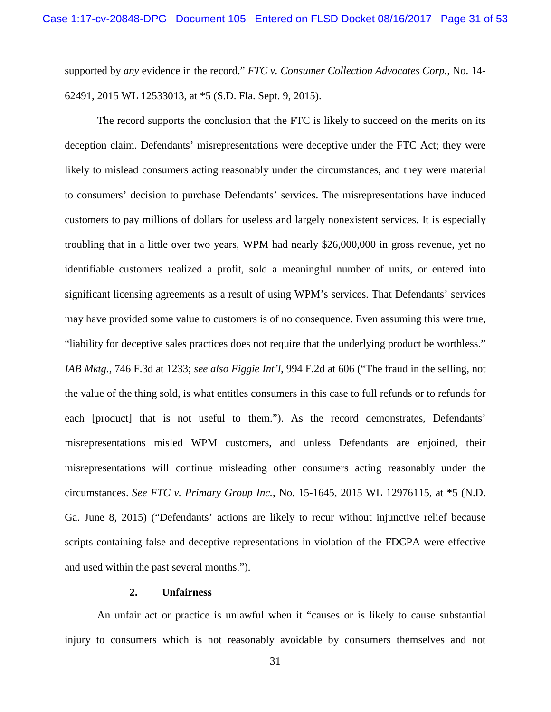supported by *any* evidence in the record." *FTC v. Consumer Collection Advocates Corp.*, No. 14- 62491, 2015 WL 12533013, at \*5 (S.D. Fla. Sept. 9, 2015).

The record supports the conclusion that the FTC is likely to succeed on the merits on its deception claim. Defendants' misrepresentations were deceptive under the FTC Act; they were likely to mislead consumers acting reasonably under the circumstances, and they were material to consumers' decision to purchase Defendants' services. The misrepresentations have induced customers to pay millions of dollars for useless and largely nonexistent services. It is especially troubling that in a little over two years, WPM had nearly \$26,000,000 in gross revenue, yet no identifiable customers realized a profit, sold a meaningful number of units, or entered into significant licensing agreements as a result of using WPM's services. That Defendants' services may have provided some value to customers is of no consequence. Even assuming this were true, "liability for deceptive sales practices does not require that the underlying product be worthless." *IAB Mktg.*, 746 F.3d at 1233; *see also Figgie Int'l*, 994 F.2d at 606 ("The fraud in the selling, not the value of the thing sold, is what entitles consumers in this case to full refunds or to refunds for each [product] that is not useful to them."). As the record demonstrates, Defendants' misrepresentations misled WPM customers, and unless Defendants are enjoined, their misrepresentations will continue misleading other consumers acting reasonably under the circumstances. *See FTC v. Primary Group Inc.*, No. 15-1645, 2015 WL 12976115, at \*5 (N.D. Ga. June 8, 2015) ("Defendants' actions are likely to recur without injunctive relief because scripts containing false and deceptive representations in violation of the FDCPA were effective and used within the past several months.").

### **2. Unfairness**

An unfair act or practice is unlawful when it "causes or is likely to cause substantial injury to consumers which is not reasonably avoidable by consumers themselves and not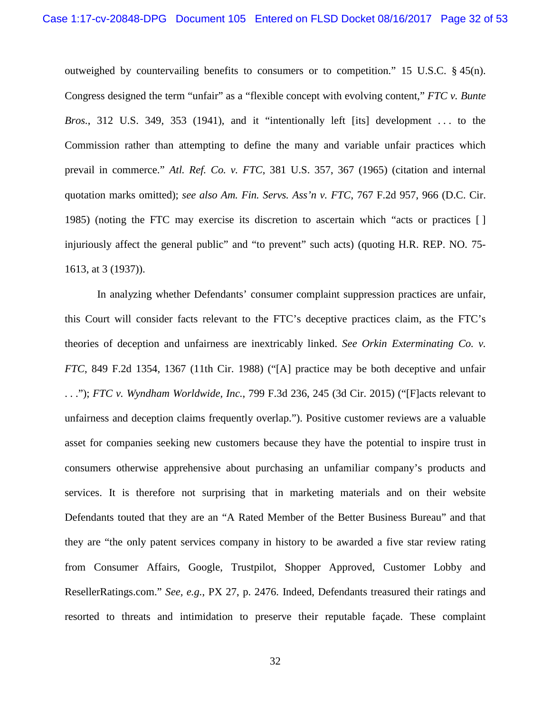outweighed by countervailing benefits to consumers or to competition." 15 U.S.C.  $\S$  45(n). Congress designed the term "unfair" as a "flexible concept with evolving content," *FTC v. Bunte Bros.*, 312 U.S. 349, 353 (1941), and it "intentionally left [its] development . . . to the Commission rather than attempting to define the many and variable unfair practices which prevail in commerce." *Atl. Ref. Co. v. FTC*, 381 U.S. 357, 367 (1965) (citation and internal quotation marks omitted); *see also Am. Fin. Servs. Ass'n v. FTC*, 767 F.2d 957, 966 (D.C. Cir. 1985) (noting the FTC may exercise its discretion to ascertain which "acts or practices [ ] injuriously affect the general public" and "to prevent" such acts) (quoting H.R. REP. NO. 75- 1613, at 3 (1937)).

In analyzing whether Defendants' consumer complaint suppression practices are unfair, this Court will consider facts relevant to the FTC's deceptive practices claim, as the FTC's theories of deception and unfairness are inextricably linked. *See Orkin Exterminating Co. v. FTC*, 849 F.2d 1354, 1367 (11th Cir. 1988) ("[A] practice may be both deceptive and unfair . . ."); *FTC v. Wyndham Worldwide, Inc.*, 799 F.3d 236, 245 (3d Cir. 2015) ("[F]acts relevant to unfairness and deception claims frequently overlap."). Positive customer reviews are a valuable asset for companies seeking new customers because they have the potential to inspire trust in consumers otherwise apprehensive about purchasing an unfamiliar company's products and services. It is therefore not surprising that in marketing materials and on their website Defendants touted that they are an "A Rated Member of the Better Business Bureau" and that they are "the only patent services company in history to be awarded a five star review rating from Consumer Affairs, Google, Trustpilot, Shopper Approved, Customer Lobby and ResellerRatings.com." *See, e.g.*, PX 27, p. 2476. Indeed, Defendants treasured their ratings and resorted to threats and intimidation to preserve their reputable façade. These complaint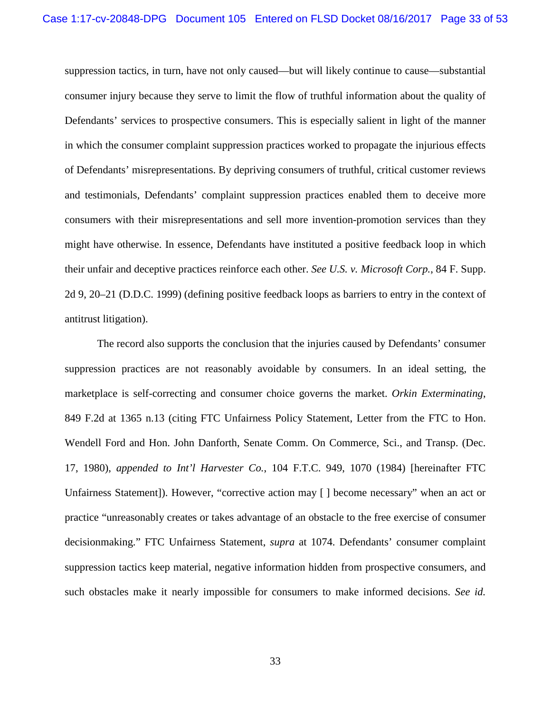suppression tactics, in turn, have not only caused—but will likely continue to cause—substantial consumer injury because they serve to limit the flow of truthful information about the quality of Defendants' services to prospective consumers. This is especially salient in light of the manner in which the consumer complaint suppression practices worked to propagate the injurious effects of Defendants' misrepresentations. By depriving consumers of truthful, critical customer reviews and testimonials, Defendants' complaint suppression practices enabled them to deceive more consumers with their misrepresentations and sell more invention-promotion services than they might have otherwise. In essence, Defendants have instituted a positive feedback loop in which their unfair and deceptive practices reinforce each other. *See U.S. v. Microsoft Corp.*, 84 F. Supp. 2d 9, 20–21 (D.D.C. 1999) (defining positive feedback loops as barriers to entry in the context of antitrust litigation).

The record also supports the conclusion that the injuries caused by Defendants' consumer suppression practices are not reasonably avoidable by consumers. In an ideal setting, the marketplace is self-correcting and consumer choice governs the market. *Orkin Exterminating*, 849 F.2d at 1365 n.13 (citing FTC Unfairness Policy Statement, Letter from the FTC to Hon. Wendell Ford and Hon. John Danforth, Senate Comm. On Commerce, Sci., and Transp. (Dec. 17, 1980), *appended to Int'l Harvester Co.*, 104 F.T.C. 949, 1070 (1984) [hereinafter FTC Unfairness Statement]). However, "corrective action may [ ] become necessary" when an act or practice "unreasonably creates or takes advantage of an obstacle to the free exercise of consumer decisionmaking." FTC Unfairness Statement, *supra* at 1074. Defendants' consumer complaint suppression tactics keep material, negative information hidden from prospective consumers, and such obstacles make it nearly impossible for consumers to make informed decisions. *See id.*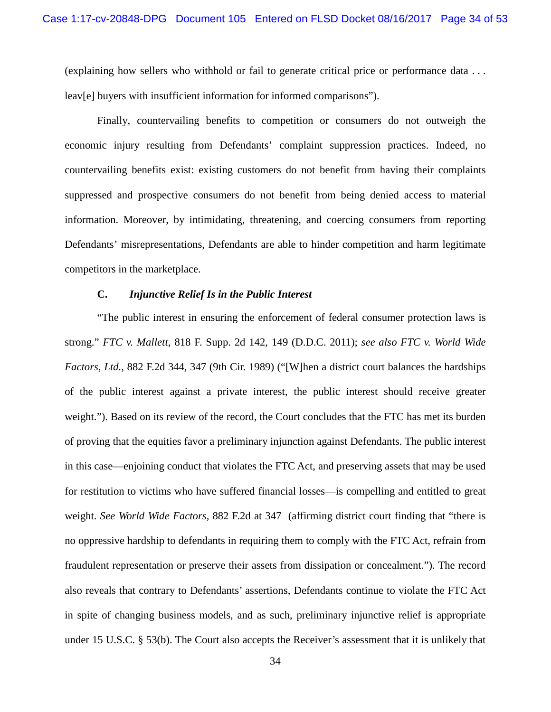(explaining how sellers who withhold or fail to generate critical price or performance data . . . leav[e] buyers with insufficient information for informed comparisons").

Finally, countervailing benefits to competition or consumers do not outweigh the economic injury resulting from Defendants' complaint suppression practices. Indeed, no countervailing benefits exist: existing customers do not benefit from having their complaints suppressed and prospective consumers do not benefit from being denied access to material information. Moreover, by intimidating, threatening, and coercing consumers from reporting Defendants' misrepresentations, Defendants are able to hinder competition and harm legitimate competitors in the marketplace.

## **C.** *Injunctive Relief Is in the Public Interest*

"The public interest in ensuring the enforcement of federal consumer protection laws is strong." *FTC v. Mallett*, 818 F. Supp. 2d 142, 149 (D.D.C. 2011); *see also FTC v. World Wide Factors, Ltd.*, 882 F.2d 344, 347 (9th Cir. 1989) ("[W]hen a district court balances the hardships of the public interest against a private interest, the public interest should receive greater weight."). Based on its review of the record, the Court concludes that the FTC has met its burden of proving that the equities favor a preliminary injunction against Defendants. The public interest in this case—enjoining conduct that violates the FTC Act, and preserving assets that may be used for restitution to victims who have suffered financial losses—is compelling and entitled to great weight. *See World Wide Factors*, 882 F.2d at 347 (affirming district court finding that "there is no oppressive hardship to defendants in requiring them to comply with the FTC Act, refrain from fraudulent representation or preserve their assets from dissipation or concealment."). The record also reveals that contrary to Defendants' assertions, Defendants continue to violate the FTC Act in spite of changing business models, and as such, preliminary injunctive relief is appropriate under 15 U.S.C. § 53(b). The Court also accepts the Receiver's assessment that it is unlikely that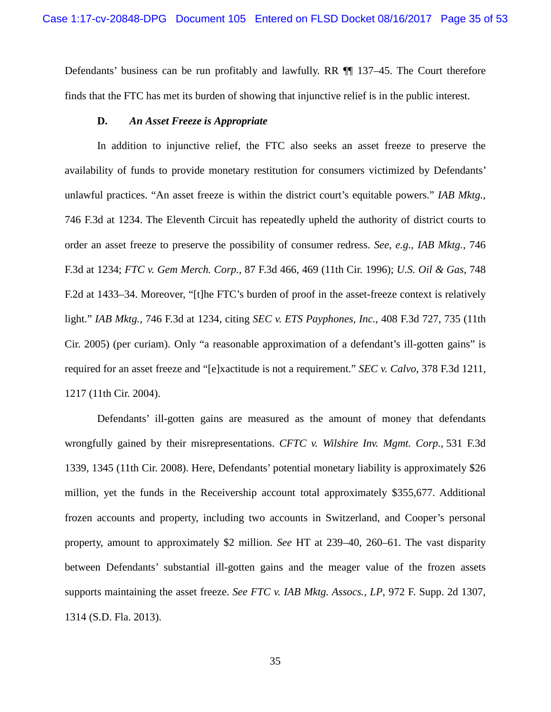Defendants' business can be run profitably and lawfully. RR ¶¶ 137–45. The Court therefore finds that the FTC has met its burden of showing that injunctive relief is in the public interest.

#### **D.** *An Asset Freeze is Appropriate*

In addition to injunctive relief, the FTC also seeks an asset freeze to preserve the availability of funds to provide monetary restitution for consumers victimized by Defendants' unlawful practices. "An asset freeze is within the district court's equitable powers." *IAB Mktg.*, 746 F.3d at 1234. The Eleventh Circuit has repeatedly upheld the authority of district courts to order an asset freeze to preserve the possibility of consumer redress. *See, e.g.*, *IAB Mktg.*, 746 F.3d at 1234; *FTC v. Gem Merch. Corp.*, 87 F.3d 466, 469 (11th Cir. 1996); *U.S. Oil & Gas*, 748 F.2d at 1433–34. Moreover, "[t]he FTC's burden of proof in the asset-freeze context is relatively light." *IAB Mktg.*, 746 F.3d at 1234, citing *SEC v. ETS Payphones, Inc.*, 408 F.3d 727, 735 (11th Cir. 2005) (per curiam). Only "a reasonable approximation of a defendant's ill-gotten gains" is required for an asset freeze and "[e]xactitude is not a requirement." *SEC v. Calvo*, 378 F.3d 1211, 1217 (11th Cir. 2004).

Defendants' ill-gotten gains are measured as the amount of money that defendants wrongfully gained by their misrepresentations. *CFTC v. Wilshire Inv. Mgmt. Corp.*, 531 F.3d 1339, 1345 (11th Cir. 2008). Here, Defendants' potential monetary liability is approximately \$26 million, yet the funds in the Receivership account total approximately \$355,677. Additional frozen accounts and property, including two accounts in Switzerland, and Cooper's personal property, amount to approximately \$2 million. *See* HT at 239–40, 260–61. The vast disparity between Defendants' substantial ill-gotten gains and the meager value of the frozen assets supports maintaining the asset freeze. *See FTC v. IAB Mktg. Assocs., LP*, 972 F. Supp. 2d 1307, 1314 (S.D. Fla. 2013).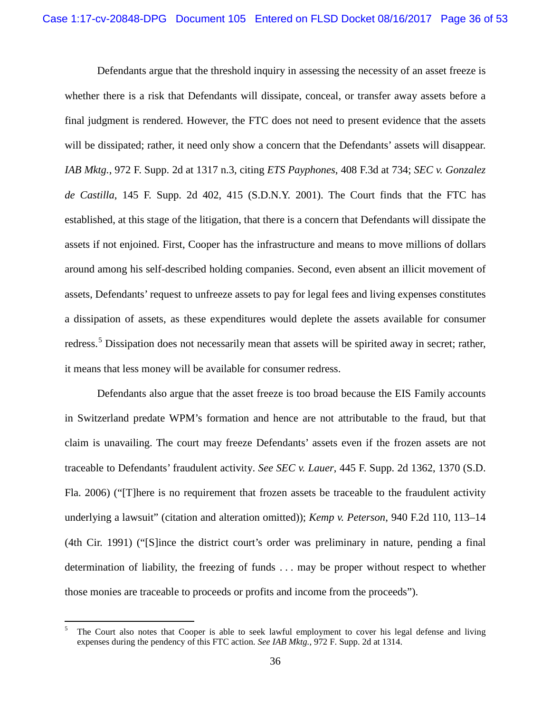Defendants argue that the threshold inquiry in assessing the necessity of an asset freeze is whether there is a risk that Defendants will dissipate, conceal, or transfer away assets before a final judgment is rendered. However, the FTC does not need to present evidence that the assets will be dissipated; rather, it need only show a concern that the Defendants' assets will disappear. *IAB Mktg.*, 972 F. Supp. 2d at 1317 n.3, citing *ETS Payphones*, 408 F.3d at 734; *SEC v. Gonzalez de Castilla*, 145 F. Supp. 2d 402, 415 (S.D.N.Y. 2001). The Court finds that the FTC has established, at this stage of the litigation, that there is a concern that Defendants will dissipate the assets if not enjoined. First, Cooper has the infrastructure and means to move millions of dollars around among his self-described holding companies. Second, even absent an illicit movement of assets, Defendants' request to unfreeze assets to pay for legal fees and living expenses constitutes a dissipation of assets, as these expenditures would deplete the assets available for consumer redress.<sup>[5](#page-35-0)</sup> Dissipation does not necessarily mean that assets will be spirited away in secret; rather, it means that less money will be available for consumer redress.

Defendants also argue that the asset freeze is too broad because the EIS Family accounts in Switzerland predate WPM's formation and hence are not attributable to the fraud, but that claim is unavailing. The court may freeze Defendants' assets even if the frozen assets are not traceable to Defendants' fraudulent activity. *See SEC v. Lauer*, 445 F. Supp. 2d 1362, 1370 (S.D. Fla. 2006) ("[T]here is no requirement that frozen assets be traceable to the fraudulent activity underlying a lawsuit" (citation and alteration omitted)); *Kemp v. Peterson*, 940 F.2d 110, 113–14 (4th Cir. 1991) ("[S]ince the district court's order was preliminary in nature, pending a final determination of liability, the freezing of funds . . . may be proper without respect to whether those monies are traceable to proceeds or profits and income from the proceeds").

<span id="page-35-0"></span><sup>&</sup>lt;sup>5</sup> The Court also notes that Cooper is able to seek lawful employment to cover his legal defense and living expenses during the pendency of this FTC action. *See IAB Mktg.,* 972 F. Supp. 2d at 1314.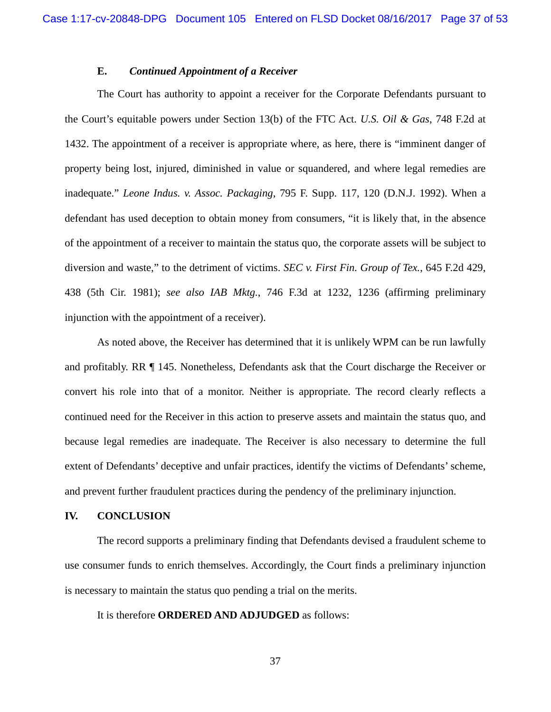## **E.** *Continued Appointment of a Receiver*

The Court has authority to appoint a receiver for the Corporate Defendants pursuant to the Court's equitable powers under Section 13(b) of the FTC Act. *U.S. Oil & Gas*, 748 F.2d at 1432. The appointment of a receiver is appropriate where, as here, there is "imminent danger of property being lost, injured, diminished in value or squandered, and where legal remedies are inadequate." *Leone Indus. v. Assoc. Packaging*, 795 F. Supp. 117, 120 (D.N.J. 1992). When a defendant has used deception to obtain money from consumers, "it is likely that, in the absence of the appointment of a receiver to maintain the status quo, the corporate assets will be subject to diversion and waste," to the detriment of victims. *SEC v. First Fin. Group of Tex.*, 645 F.2d 429, 438 (5th Cir. 1981); *see also IAB Mktg.*, 746 F.3d at 1232, 1236 (affirming preliminary injunction with the appointment of a receiver).

As noted above, the Receiver has determined that it is unlikely WPM can be run lawfully and profitably. RR ¶ 145. Nonetheless, Defendants ask that the Court discharge the Receiver or convert his role into that of a monitor. Neither is appropriate. The record clearly reflects a continued need for the Receiver in this action to preserve assets and maintain the status quo, and because legal remedies are inadequate. The Receiver is also necessary to determine the full extent of Defendants' deceptive and unfair practices, identify the victims of Defendants' scheme, and prevent further fraudulent practices during the pendency of the preliminary injunction.

#### **IV. CONCLUSION**

The record supports a preliminary finding that Defendants devised a fraudulent scheme to use consumer funds to enrich themselves. Accordingly, the Court finds a preliminary injunction is necessary to maintain the status quo pending a trial on the merits.

It is therefore **ORDERED AND ADJUDGED** as follows:

37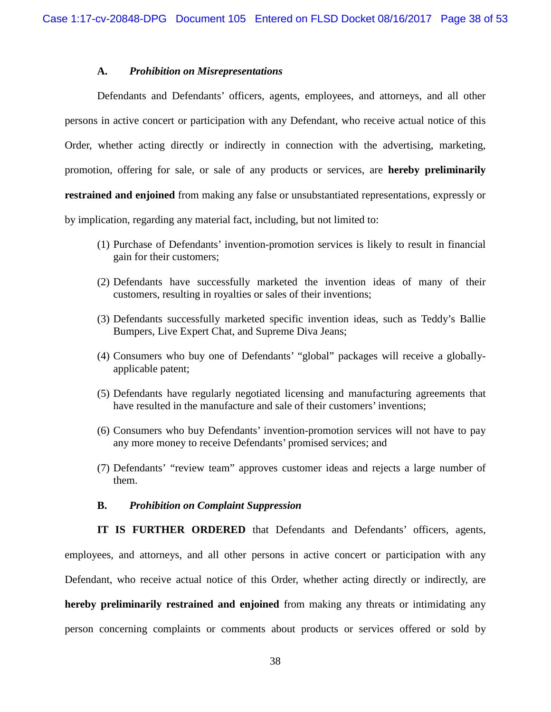#### **A.** *Prohibition on Misrepresentations*

Defendants and Defendants' officers, agents, employees, and attorneys, and all other persons in active concert or participation with any Defendant, who receive actual notice of this Order, whether acting directly or indirectly in connection with the advertising, marketing, promotion, offering for sale, or sale of any products or services, are **hereby preliminarily restrained and enjoined** from making any false or unsubstantiated representations, expressly or by implication, regarding any material fact, including, but not limited to:

- (1) Purchase of Defendants' invention-promotion services is likely to result in financial gain for their customers;
- (2) Defendants have successfully marketed the invention ideas of many of their customers, resulting in royalties or sales of their inventions;
- (3) Defendants successfully marketed specific invention ideas, such as Teddy's Ballie Bumpers, Live Expert Chat, and Supreme Diva Jeans;
- (4) Consumers who buy one of Defendants' "global" packages will receive a globallyapplicable patent;
- (5) Defendants have regularly negotiated licensing and manufacturing agreements that have resulted in the manufacture and sale of their customers' inventions;
- (6) Consumers who buy Defendants' invention-promotion services will not have to pay any more money to receive Defendants' promised services; and
- (7) Defendants' "review team" approves customer ideas and rejects a large number of them.

#### **B.** *Prohibition on Complaint Suppression*

**IT IS FURTHER ORDERED** that Defendants and Defendants' officers, agents, employees, and attorneys, and all other persons in active concert or participation with any Defendant, who receive actual notice of this Order, whether acting directly or indirectly, are **hereby preliminarily restrained and enjoined** from making any threats or intimidating any person concerning complaints or comments about products or services offered or sold by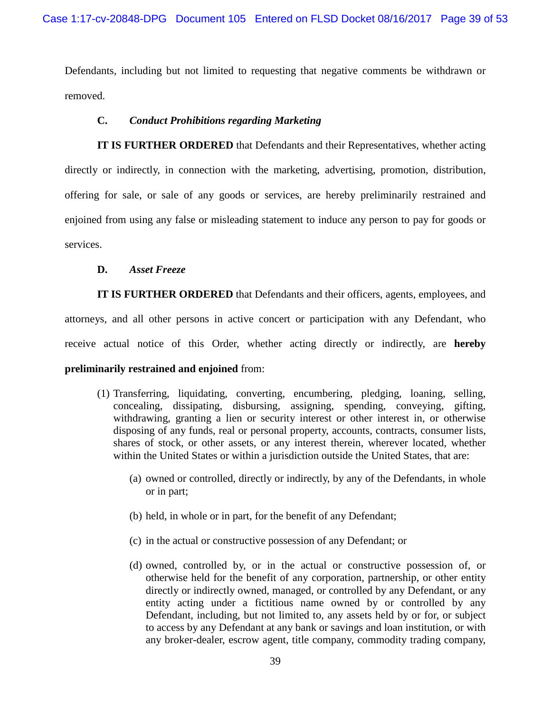Defendants, including but not limited to requesting that negative comments be withdrawn or removed.

## **C.** *Conduct Prohibitions regarding Marketing*

**IT IS FURTHER ORDERED** that Defendants and their Representatives, whether acting directly or indirectly, in connection with the marketing, advertising, promotion, distribution, offering for sale, or sale of any goods or services, are hereby preliminarily restrained and enjoined from using any false or misleading statement to induce any person to pay for goods or services.

### **D.** *Asset Freeze*

**IT IS FURTHER ORDERED** that Defendants and their officers, agents, employees, and attorneys, and all other persons in active concert or participation with any Defendant, who receive actual notice of this Order, whether acting directly or indirectly, are **hereby preliminarily restrained and enjoined** from:

- (1) Transferring, liquidating, converting, encumbering, pledging, loaning, selling, concealing, dissipating, disbursing, assigning, spending, conveying, gifting, withdrawing, granting a lien or security interest or other interest in, or otherwise disposing of any funds, real or personal property, accounts, contracts, consumer lists, shares of stock, or other assets, or any interest therein, wherever located, whether within the United States or within a jurisdiction outside the United States, that are:
	- (a) owned or controlled, directly or indirectly, by any of the Defendants, in whole or in part;
	- (b) held, in whole or in part, for the benefit of any Defendant;
	- (c) in the actual or constructive possession of any Defendant; or
	- (d) owned, controlled by, or in the actual or constructive possession of, or otherwise held for the benefit of any corporation, partnership, or other entity directly or indirectly owned, managed, or controlled by any Defendant, or any entity acting under a fictitious name owned by or controlled by any Defendant, including, but not limited to, any assets held by or for, or subject to access by any Defendant at any bank or savings and loan institution, or with any broker-dealer, escrow agent, title company, commodity trading company,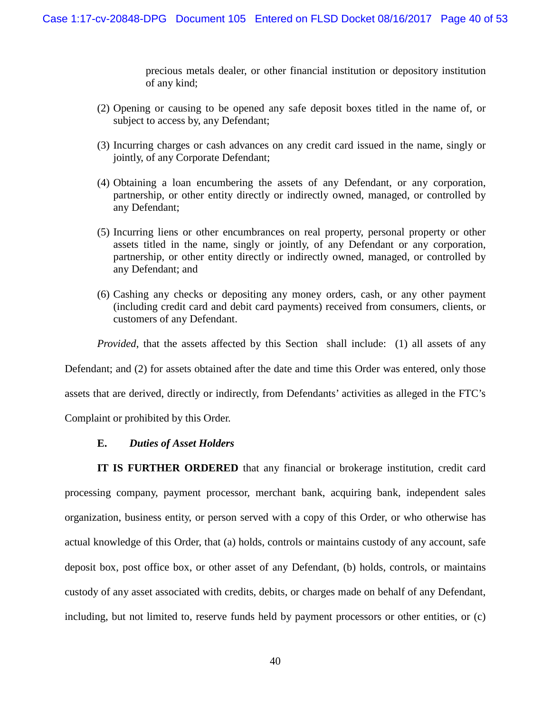precious metals dealer, or other financial institution or depository institution of any kind;

- (2) Opening or causing to be opened any safe deposit boxes titled in the name of, or subject to access by, any Defendant;
- (3) Incurring charges or cash advances on any credit card issued in the name, singly or jointly, of any Corporate Defendant;
- (4) Obtaining a loan encumbering the assets of any Defendant, or any corporation, partnership, or other entity directly or indirectly owned, managed, or controlled by any Defendant;
- (5) Incurring liens or other encumbrances on real property, personal property or other assets titled in the name, singly or jointly, of any Defendant or any corporation, partnership, or other entity directly or indirectly owned, managed, or controlled by any Defendant; and
- (6) Cashing any checks or depositing any money orders, cash, or any other payment (including credit card and debit card payments) received from consumers, clients, or customers of any Defendant.

*Provided*, that the assets affected by this Section shall include: (1) all assets of any

Defendant; and (2) for assets obtained after the date and time this Order was entered, only those

assets that are derived, directly or indirectly, from Defendants' activities as alleged in the FTC's

Complaint or prohibited by this Order.

# **E.** *Duties of Asset Holders*

**IT IS FURTHER ORDERED** that any financial or brokerage institution, credit card processing company, payment processor, merchant bank, acquiring bank, independent sales organization, business entity, or person served with a copy of this Order, or who otherwise has actual knowledge of this Order, that (a) holds, controls or maintains custody of any account, safe deposit box, post office box, or other asset of any Defendant, (b) holds, controls, or maintains custody of any asset associated with credits, debits, or charges made on behalf of any Defendant, including, but not limited to, reserve funds held by payment processors or other entities, or (c)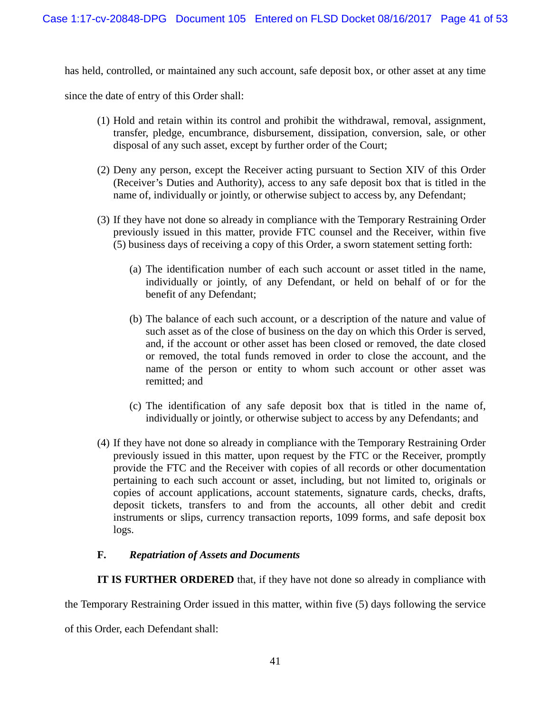has held, controlled, or maintained any such account, safe deposit box, or other asset at any time

since the date of entry of this Order shall:

- (1) Hold and retain within its control and prohibit the withdrawal, removal, assignment, transfer, pledge, encumbrance, disbursement, dissipation, conversion, sale, or other disposal of any such asset, except by further order of the Court;
- (2) Deny any person, except the Receiver acting pursuant to Section XIV of this Order (Receiver's Duties and Authority), access to any safe deposit box that is titled in the name of, individually or jointly, or otherwise subject to access by, any Defendant;
- (3) If they have not done so already in compliance with the Temporary Restraining Order previously issued in this matter, provide FTC counsel and the Receiver, within five (5) business days of receiving a copy of this Order, a sworn statement setting forth:
	- (a) The identification number of each such account or asset titled in the name, individually or jointly, of any Defendant, or held on behalf of or for the benefit of any Defendant;
	- (b) The balance of each such account, or a description of the nature and value of such asset as of the close of business on the day on which this Order is served, and, if the account or other asset has been closed or removed, the date closed or removed, the total funds removed in order to close the account, and the name of the person or entity to whom such account or other asset was remitted; and
	- (c) The identification of any safe deposit box that is titled in the name of, individually or jointly, or otherwise subject to access by any Defendants; and
- (4) If they have not done so already in compliance with the Temporary Restraining Order previously issued in this matter, upon request by the FTC or the Receiver, promptly provide the FTC and the Receiver with copies of all records or other documentation pertaining to each such account or asset, including, but not limited to, originals or copies of account applications, account statements, signature cards, checks, drafts, deposit tickets, transfers to and from the accounts, all other debit and credit instruments or slips, currency transaction reports, 1099 forms, and safe deposit box logs.

# **F.** *Repatriation of Assets and Documents*

**IT IS FURTHER ORDERED** that, if they have not done so already in compliance with

the Temporary Restraining Order issued in this matter, within five (5) days following the service

of this Order, each Defendant shall: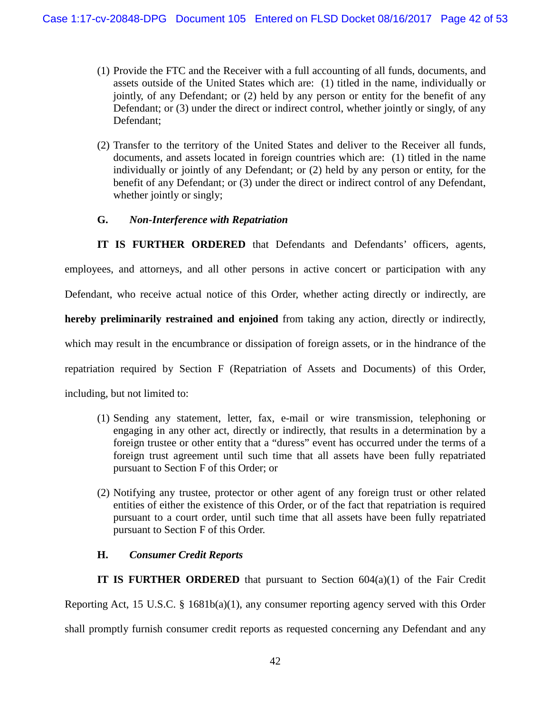- (1) Provide the FTC and the Receiver with a full accounting of all funds, documents, and assets outside of the United States which are: (1) titled in the name, individually or jointly, of any Defendant; or (2) held by any person or entity for the benefit of any Defendant; or (3) under the direct or indirect control, whether jointly or singly, of any Defendant;
- (2) Transfer to the territory of the United States and deliver to the Receiver all funds, documents, and assets located in foreign countries which are: (1) titled in the name individually or jointly of any Defendant; or (2) held by any person or entity, for the benefit of any Defendant; or (3) under the direct or indirect control of any Defendant, whether jointly or singly;

# **G.** *Non-Interference with Repatriation*

**IT IS FURTHER ORDERED** that Defendants and Defendants' officers, agents, employees, and attorneys, and all other persons in active concert or participation with any Defendant, who receive actual notice of this Order, whether acting directly or indirectly, are **hereby preliminarily restrained and enjoined** from taking any action, directly or indirectly, which may result in the encumbrance or dissipation of foreign assets, or in the hindrance of the repatriation required by Section F (Repatriation of Assets and Documents) of this Order, including, but not limited to:

- (1) Sending any statement, letter, fax, e-mail or wire transmission, telephoning or engaging in any other act, directly or indirectly, that results in a determination by a foreign trustee or other entity that a "duress" event has occurred under the terms of a foreign trust agreement until such time that all assets have been fully repatriated pursuant to Section F of this Order; or
- (2) Notifying any trustee, protector or other agent of any foreign trust or other related entities of either the existence of this Order, or of the fact that repatriation is required pursuant to a court order, until such time that all assets have been fully repatriated pursuant to Section F of this Order.

# **H.** *Consumer Credit Reports*

**IT IS FURTHER ORDERED** that pursuant to Section 604(a)(1) of the Fair Credit Reporting Act, 15 U.S.C. § 1681b(a)(1), any consumer reporting agency served with this Order shall promptly furnish consumer credit reports as requested concerning any Defendant and any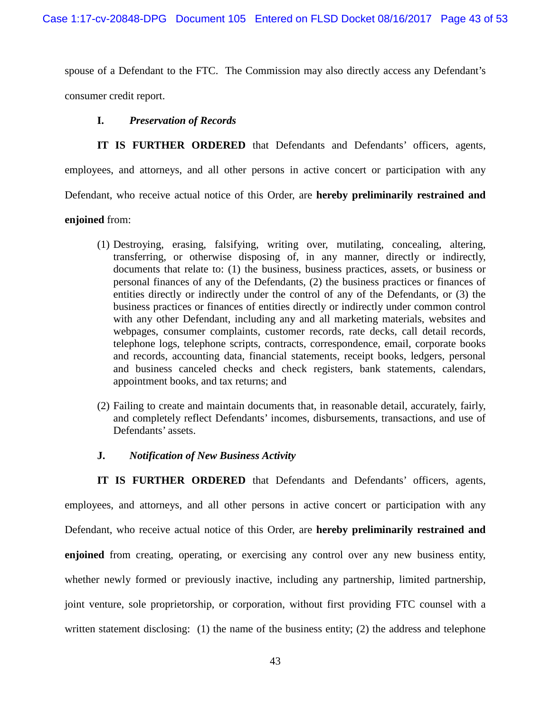spouse of a Defendant to the FTC. The Commission may also directly access any Defendant's consumer credit report.

### **I.** *Preservation of Records*

**IT IS FURTHER ORDERED** that Defendants and Defendants' officers, agents, employees, and attorneys, and all other persons in active concert or participation with any Defendant, who receive actual notice of this Order, are **hereby preliminarily restrained and** 

## **enjoined** from:

- (1) Destroying, erasing, falsifying, writing over, mutilating, concealing, altering, transferring, or otherwise disposing of, in any manner, directly or indirectly, documents that relate to: (1) the business, business practices, assets, or business or personal finances of any of the Defendants, (2) the business practices or finances of entities directly or indirectly under the control of any of the Defendants, or (3) the business practices or finances of entities directly or indirectly under common control with any other Defendant, including any and all marketing materials, websites and webpages, consumer complaints, customer records, rate decks, call detail records, telephone logs, telephone scripts, contracts, correspondence, email, corporate books and records, accounting data, financial statements, receipt books, ledgers, personal and business canceled checks and check registers, bank statements, calendars, appointment books, and tax returns; and
- (2) Failing to create and maintain documents that, in reasonable detail, accurately, fairly, and completely reflect Defendants' incomes, disbursements, transactions, and use of Defendants' assets.

# **J.** *Notification of New Business Activity*

**IT IS FURTHER ORDERED** that Defendants and Defendants' officers, agents, employees, and attorneys, and all other persons in active concert or participation with any Defendant, who receive actual notice of this Order, are **hereby preliminarily restrained and enjoined** from creating, operating, or exercising any control over any new business entity, whether newly formed or previously inactive, including any partnership, limited partnership, joint venture, sole proprietorship, or corporation, without first providing FTC counsel with a written statement disclosing: (1) the name of the business entity; (2) the address and telephone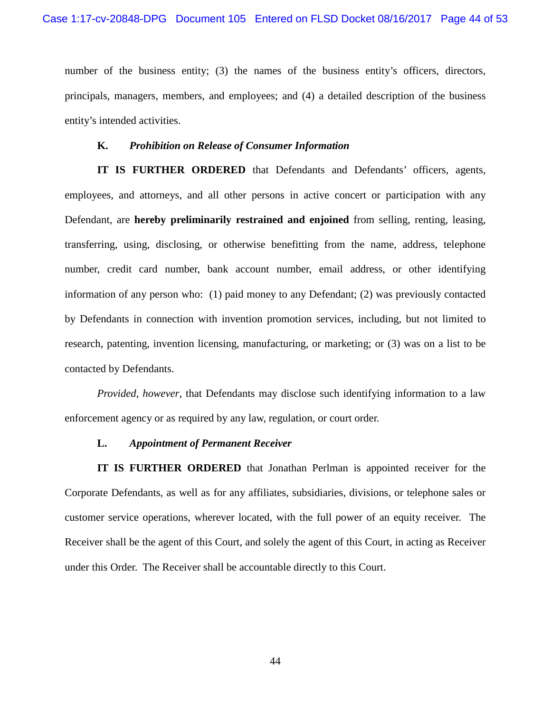number of the business entity; (3) the names of the business entity's officers, directors, principals, managers, members, and employees; and (4) a detailed description of the business entity's intended activities.

#### **K.** *Prohibition on Release of Consumer Information*

**IT IS FURTHER ORDERED** that Defendants and Defendants' officers, agents, employees, and attorneys, and all other persons in active concert or participation with any Defendant, are **hereby preliminarily restrained and enjoined** from selling, renting, leasing, transferring, using, disclosing, or otherwise benefitting from the name, address, telephone number, credit card number, bank account number, email address, or other identifying information of any person who: (1) paid money to any Defendant; (2) was previously contacted by Defendants in connection with invention promotion services, including, but not limited to research, patenting, invention licensing, manufacturing, or marketing; or (3) was on a list to be contacted by Defendants.

*Provided, however*, that Defendants may disclose such identifying information to a law enforcement agency or as required by any law, regulation, or court order.

#### **L.** *Appointment of Permanent Receiver*

**IT IS FURTHER ORDERED** that Jonathan Perlman is appointed receiver for the Corporate Defendants, as well as for any affiliates, subsidiaries, divisions, or telephone sales or customer service operations, wherever located, with the full power of an equity receiver. The Receiver shall be the agent of this Court, and solely the agent of this Court, in acting as Receiver under this Order. The Receiver shall be accountable directly to this Court.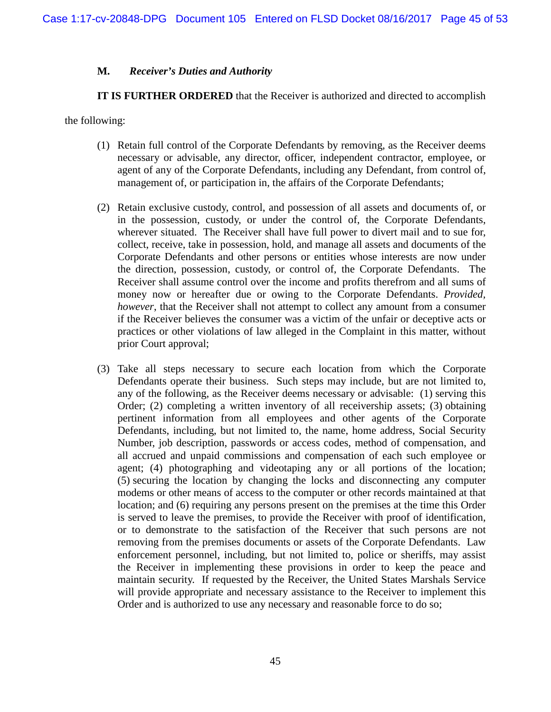# **M.** *Receiver's Duties and Authority*

**IT IS FURTHER ORDERED** that the Receiver is authorized and directed to accomplish

the following:

- (1) Retain full control of the Corporate Defendants by removing, as the Receiver deems necessary or advisable, any director, officer, independent contractor, employee, or agent of any of the Corporate Defendants, including any Defendant, from control of, management of, or participation in, the affairs of the Corporate Defendants;
- (2) Retain exclusive custody, control, and possession of all assets and documents of, or in the possession, custody, or under the control of, the Corporate Defendants, wherever situated. The Receiver shall have full power to divert mail and to sue for, collect, receive, take in possession, hold, and manage all assets and documents of the Corporate Defendants and other persons or entities whose interests are now under the direction, possession, custody, or control of, the Corporate Defendants. The Receiver shall assume control over the income and profits therefrom and all sums of money now or hereafter due or owing to the Corporate Defendants. *Provided, however*, that the Receiver shall not attempt to collect any amount from a consumer if the Receiver believes the consumer was a victim of the unfair or deceptive acts or practices or other violations of law alleged in the Complaint in this matter, without prior Court approval;
- (3) Take all steps necessary to secure each location from which the Corporate Defendants operate their business.Such steps may include, but are not limited to, any of the following, as the Receiver deems necessary or advisable: (1) serving this Order; (2) completing a written inventory of all receivership assets; (3) obtaining pertinent information from all employees and other agents of the Corporate Defendants, including, but not limited to, the name, home address, Social Security Number, job description, passwords or access codes, method of compensation, and all accrued and unpaid commissions and compensation of each such employee or agent; (4) photographing and videotaping any or all portions of the location; (5) securing the location by changing the locks and disconnecting any computer modems or other means of access to the computer or other records maintained at that location; and (6) requiring any persons present on the premises at the time this Order is served to leave the premises, to provide the Receiver with proof of identification, or to demonstrate to the satisfaction of the Receiver that such persons are not removing from the premises documents or assets of the Corporate Defendants. Law enforcement personnel, including, but not limited to, police or sheriffs, may assist the Receiver in implementing these provisions in order to keep the peace and maintain security. If requested by the Receiver, the United States Marshals Service will provide appropriate and necessary assistance to the Receiver to implement this Order and is authorized to use any necessary and reasonable force to do so;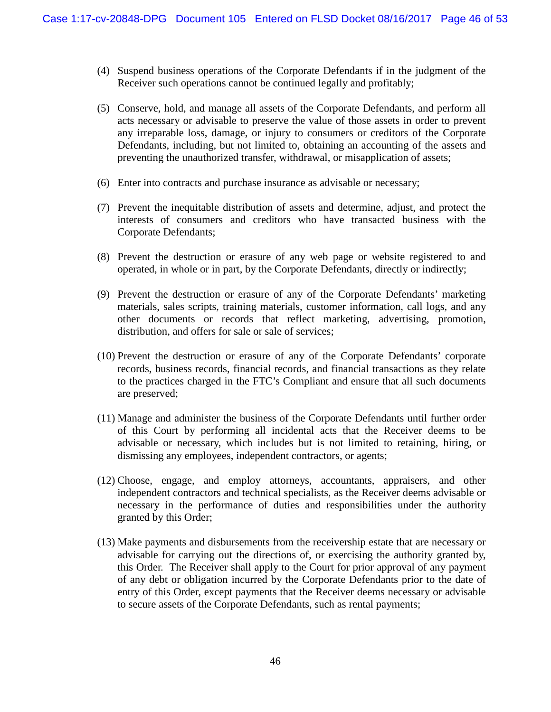- (4) Suspend business operations of the Corporate Defendants if in the judgment of the Receiver such operations cannot be continued legally and profitably;
- (5) Conserve, hold, and manage all assets of the Corporate Defendants, and perform all acts necessary or advisable to preserve the value of those assets in order to prevent any irreparable loss, damage, or injury to consumers or creditors of the Corporate Defendants, including, but not limited to, obtaining an accounting of the assets and preventing the unauthorized transfer, withdrawal, or misapplication of assets;
- (6) Enter into contracts and purchase insurance as advisable or necessary;
- (7) Prevent the inequitable distribution of assets and determine, adjust, and protect the interests of consumers and creditors who have transacted business with the Corporate Defendants;
- (8) Prevent the destruction or erasure of any web page or website registered to and operated, in whole or in part, by the Corporate Defendants, directly or indirectly;
- (9) Prevent the destruction or erasure of any of the Corporate Defendants' marketing materials, sales scripts, training materials, customer information, call logs, and any other documents or records that reflect marketing, advertising, promotion, distribution, and offers for sale or sale of services;
- (10) Prevent the destruction or erasure of any of the Corporate Defendants' corporate records, business records, financial records, and financial transactions as they relate to the practices charged in the FTC's Compliant and ensure that all such documents are preserved;
- (11) Manage and administer the business of the Corporate Defendants until further order of this Court by performing all incidental acts that the Receiver deems to be advisable or necessary, which includes but is not limited to retaining, hiring, or dismissing any employees, independent contractors, or agents;
- (12) Choose, engage, and employ attorneys, accountants, appraisers, and other independent contractors and technical specialists, as the Receiver deems advisable or necessary in the performance of duties and responsibilities under the authority granted by this Order;
- (13) Make payments and disbursements from the receivership estate that are necessary or advisable for carrying out the directions of, or exercising the authority granted by, this Order. The Receiver shall apply to the Court for prior approval of any payment of any debt or obligation incurred by the Corporate Defendants prior to the date of entry of this Order, except payments that the Receiver deems necessary or advisable to secure assets of the Corporate Defendants, such as rental payments;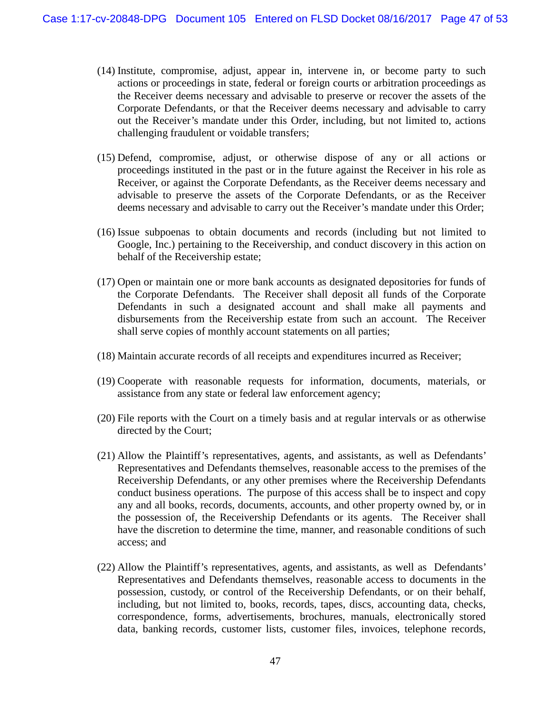- (14) Institute, compromise, adjust, appear in, intervene in, or become party to such actions or proceedings in state, federal or foreign courts or arbitration proceedings as the Receiver deems necessary and advisable to preserve or recover the assets of the Corporate Defendants, or that the Receiver deems necessary and advisable to carry out the Receiver's mandate under this Order, including, but not limited to, actions challenging fraudulent or voidable transfers;
- (15) Defend, compromise, adjust, or otherwise dispose of any or all actions or proceedings instituted in the past or in the future against the Receiver in his role as Receiver, or against the Corporate Defendants, as the Receiver deems necessary and advisable to preserve the assets of the Corporate Defendants, or as the Receiver deems necessary and advisable to carry out the Receiver's mandate under this Order;
- (16) Issue subpoenas to obtain documents and records (including but not limited to Google, Inc.) pertaining to the Receivership, and conduct discovery in this action on behalf of the Receivership estate;
- (17) Open or maintain one or more bank accounts as designated depositories for funds of the Corporate Defendants. The Receiver shall deposit all funds of the Corporate Defendants in such a designated account and shall make all payments and disbursements from the Receivership estate from such an account. The Receiver shall serve copies of monthly account statements on all parties;
- (18) Maintain accurate records of all receipts and expenditures incurred as Receiver;
- (19) Cooperate with reasonable requests for information, documents, materials, or assistance from any state or federal law enforcement agency;
- (20) File reports with the Court on a timely basis and at regular intervals or as otherwise directed by the Court;
- (21) Allow the Plaintiff's representatives, agents, and assistants, as well as Defendants' Representatives and Defendants themselves, reasonable access to the premises of the Receivership Defendants, or any other premises where the Receivership Defendants conduct business operations. The purpose of this access shall be to inspect and copy any and all books, records, documents, accounts, and other property owned by, or in the possession of, the Receivership Defendants or its agents. The Receiver shall have the discretion to determine the time, manner, and reasonable conditions of such access; and
- (22) Allow the Plaintiff's representatives, agents, and assistants, as well as Defendants' Representatives and Defendants themselves, reasonable access to documents in the possession, custody, or control of the Receivership Defendants, or on their behalf, including, but not limited to, books, records, tapes, discs, accounting data, checks, correspondence, forms, advertisements, brochures, manuals, electronically stored data, banking records, customer lists, customer files, invoices, telephone records,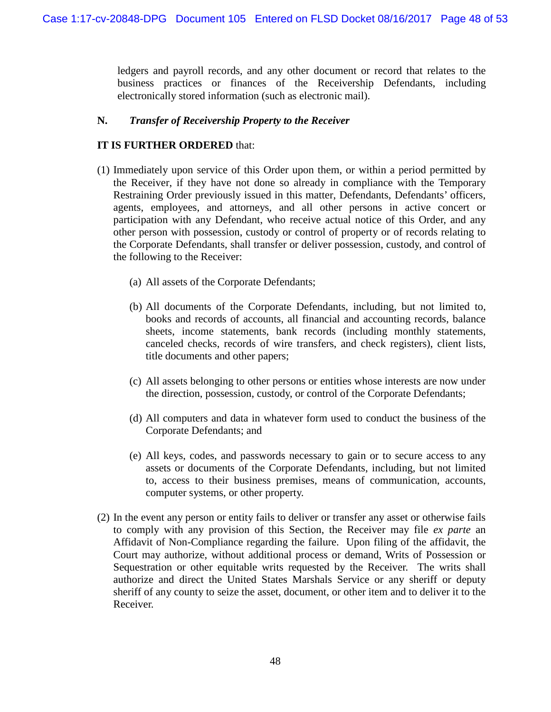ledgers and payroll records, and any other document or record that relates to the business practices or finances of the Receivership Defendants, including electronically stored information (such as electronic mail).

# **N.** *Transfer of Receivership Property to the Receiver*

# **IT IS FURTHER ORDERED** that:

- (1) Immediately upon service of this Order upon them, or within a period permitted by the Receiver, if they have not done so already in compliance with the Temporary Restraining Order previously issued in this matter, Defendants, Defendants' officers, agents, employees, and attorneys, and all other persons in active concert or participation with any Defendant, who receive actual notice of this Order, and any other person with possession, custody or control of property or of records relating to the Corporate Defendants, shall transfer or deliver possession, custody, and control of the following to the Receiver:
	- (a) All assets of the Corporate Defendants;
	- (b) All documents of the Corporate Defendants, including, but not limited to, books and records of accounts, all financial and accounting records, balance sheets, income statements, bank records (including monthly statements, canceled checks, records of wire transfers, and check registers), client lists, title documents and other papers;
	- (c) All assets belonging to other persons or entities whose interests are now under the direction, possession, custody, or control of the Corporate Defendants;
	- (d) All computers and data in whatever form used to conduct the business of the Corporate Defendants; and
	- (e) All keys, codes, and passwords necessary to gain or to secure access to any assets or documents of the Corporate Defendants, including, but not limited to, access to their business premises, means of communication, accounts, computer systems, or other property.
- (2) In the event any person or entity fails to deliver or transfer any asset or otherwise fails to comply with any provision of this Section, the Receiver may file *ex parte* an Affidavit of Non-Compliance regarding the failure. Upon filing of the affidavit, the Court may authorize, without additional process or demand, Writs of Possession or Sequestration or other equitable writs requested by the Receiver. The writs shall authorize and direct the United States Marshals Service or any sheriff or deputy sheriff of any county to seize the asset, document, or other item and to deliver it to the Receiver.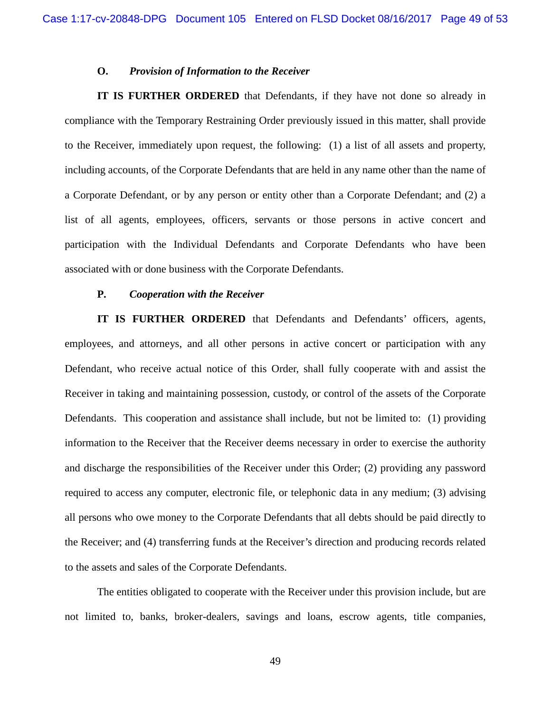#### **O.** *Provision of Information to the Receiver*

**IT IS FURTHER ORDERED** that Defendants, if they have not done so already in compliance with the Temporary Restraining Order previously issued in this matter, shall provide to the Receiver, immediately upon request, the following: (1) a list of all assets and property, including accounts, of the Corporate Defendants that are held in any name other than the name of a Corporate Defendant, or by any person or entity other than a Corporate Defendant; and (2) a list of all agents, employees, officers, servants or those persons in active concert and participation with the Individual Defendants and Corporate Defendants who have been associated with or done business with the Corporate Defendants.

#### **P.** *Cooperation with the Receiver*

**IT IS FURTHER ORDERED** that Defendants and Defendants' officers, agents, employees, and attorneys, and all other persons in active concert or participation with any Defendant, who receive actual notice of this Order, shall fully cooperate with and assist the Receiver in taking and maintaining possession, custody, or control of the assets of the Corporate Defendants. This cooperation and assistance shall include, but not be limited to: (1) providing information to the Receiver that the Receiver deems necessary in order to exercise the authority and discharge the responsibilities of the Receiver under this Order; (2) providing any password required to access any computer, electronic file, or telephonic data in any medium; (3) advising all persons who owe money to the Corporate Defendants that all debts should be paid directly to the Receiver; and (4) transferring funds at the Receiver's direction and producing records related to the assets and sales of the Corporate Defendants.

The entities obligated to cooperate with the Receiver under this provision include, but are not limited to, banks, broker-dealers, savings and loans, escrow agents, title companies,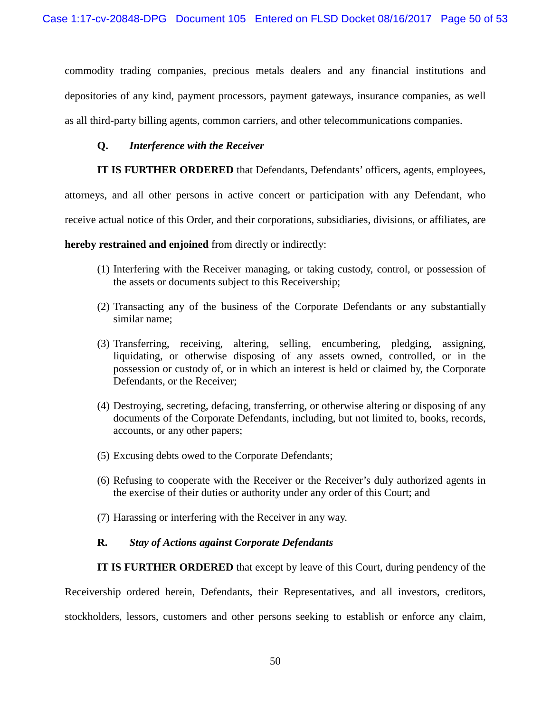commodity trading companies, precious metals dealers and any financial institutions and depositories of any kind, payment processors, payment gateways, insurance companies, as well as all third-party billing agents, common carriers, and other telecommunications companies.

# **Q.** *Interference with the Receiver*

**IT IS FURTHER ORDERED** that Defendants, Defendants' officers, agents, employees,

attorneys, and all other persons in active concert or participation with any Defendant, who

receive actual notice of this Order, and their corporations, subsidiaries, divisions, or affiliates, are

**hereby restrained and enjoined** from directly or indirectly:

- (1) Interfering with the Receiver managing, or taking custody, control, or possession of the assets or documents subject to this Receivership;
- (2) Transacting any of the business of the Corporate Defendants or any substantially similar name;
- (3) Transferring, receiving, altering, selling, encumbering, pledging, assigning, liquidating, or otherwise disposing of any assets owned, controlled, or in the possession or custody of, or in which an interest is held or claimed by, the Corporate Defendants, or the Receiver;
- (4) Destroying, secreting, defacing, transferring, or otherwise altering or disposing of any documents of the Corporate Defendants, including, but not limited to, books, records, accounts, or any other papers;
- (5) Excusing debts owed to the Corporate Defendants;
- (6) Refusing to cooperate with the Receiver or the Receiver's duly authorized agents in the exercise of their duties or authority under any order of this Court; and
- (7) Harassing or interfering with the Receiver in any way.

# **R.** *Stay of Actions against Corporate Defendants*

**IT IS FURTHER ORDERED** that except by leave of this Court, during pendency of the

Receivership ordered herein, Defendants, their Representatives, and all investors, creditors, stockholders, lessors, customers and other persons seeking to establish or enforce any claim,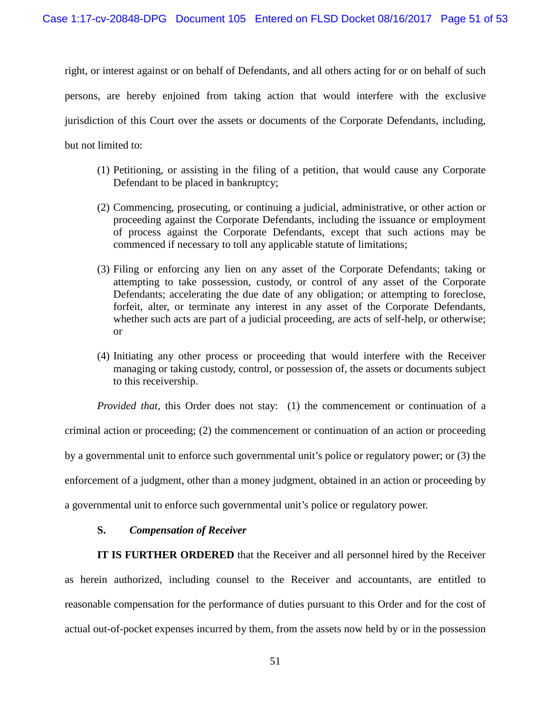right, or interest against or on behalf of Defendants, and all others acting for or on behalf of such persons, are hereby enjoined from taking action that would interfere with the exclusive jurisdiction of this Court over the assets or documents of the Corporate Defendants, including, but not limited to:

- (1) Petitioning, or assisting in the filing of a petition, that would cause any Corporate Defendant to be placed in bankruptcy;
- (2) Commencing, prosecuting, or continuing a judicial, administrative, or other action or proceeding against the Corporate Defendants, including the issuance or employment of process against the Corporate Defendants, except that such actions may be commenced if necessary to toll any applicable statute of limitations;
- (3) Filing or enforcing any lien on any asset of the Corporate Defendants; taking or attempting to take possession, custody, or control of any asset of the Corporate Defendants; accelerating the due date of any obligation; or attempting to foreclose, forfeit, alter, or terminate any interest in any asset of the Corporate Defendants, whether such acts are part of a judicial proceeding, are acts of self-help, or otherwise; or
- (4) Initiating any other process or proceeding that would interfere with the Receiver managing or taking custody, control, or possession of, the assets or documents subject to this receivership.

*Provided that, this Order does not stay: (1) the commencement or continuation of a* 

criminal action or proceeding; (2) the commencement or continuation of an action or proceeding

by a governmental unit to enforce such governmental unit's police or regulatory power; or (3) the

enforcement of a judgment, other than a money judgment, obtained in an action or proceeding by

a governmental unit to enforce such governmental unit's police or regulatory power.

### **S.** *Compensation of Receiver*

**IT IS FURTHER ORDERED** that the Receiver and all personnel hired by the Receiver as herein authorized, including counsel to the Receiver and accountants, are entitled to reasonable compensation for the performance of duties pursuant to this Order and for the cost of actual out-of-pocket expenses incurred by them, from the assets now held by or in the possession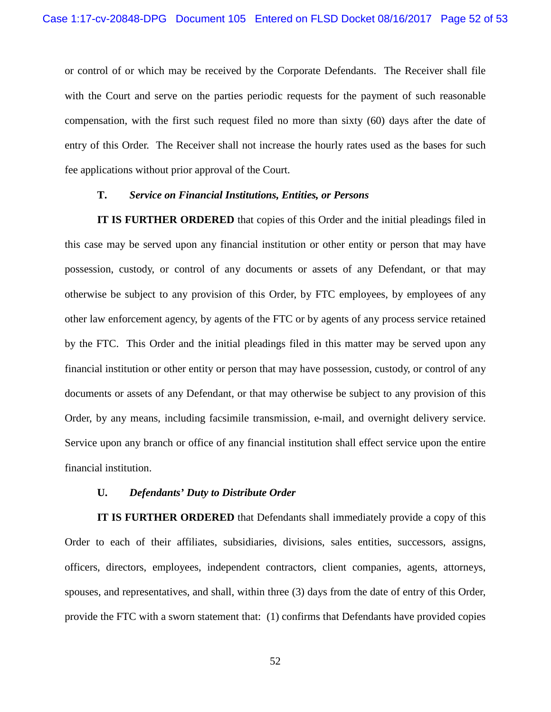or control of or which may be received by the Corporate Defendants. The Receiver shall file with the Court and serve on the parties periodic requests for the payment of such reasonable compensation, with the first such request filed no more than sixty (60) days after the date of entry of this Order. The Receiver shall not increase the hourly rates used as the bases for such fee applications without prior approval of the Court.

#### **T.** *Service on Financial Institutions, Entities, or Persons*

**IT IS FURTHER ORDERED** that copies of this Order and the initial pleadings filed in this case may be served upon any financial institution or other entity or person that may have possession, custody, or control of any documents or assets of any Defendant, or that may otherwise be subject to any provision of this Order, by FTC employees, by employees of any other law enforcement agency, by agents of the FTC or by agents of any process service retained by the FTC. This Order and the initial pleadings filed in this matter may be served upon any financial institution or other entity or person that may have possession, custody, or control of any documents or assets of any Defendant, or that may otherwise be subject to any provision of this Order, by any means, including facsimile transmission, e-mail, and overnight delivery service. Service upon any branch or office of any financial institution shall effect service upon the entire financial institution.

#### **U.** *Defendants' Duty to Distribute Order*

**IT IS FURTHER ORDERED** that Defendants shall immediately provide a copy of this Order to each of their affiliates, subsidiaries, divisions, sales entities, successors, assigns, officers, directors, employees, independent contractors, client companies, agents, attorneys, spouses, and representatives, and shall, within three (3) days from the date of entry of this Order, provide the FTC with a sworn statement that: (1) confirms that Defendants have provided copies